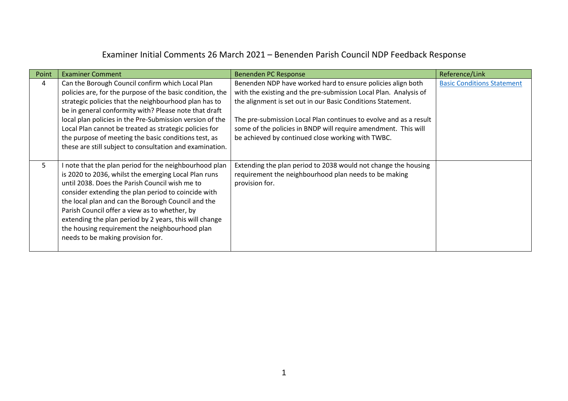## Examiner Initial Comments 26 March 2021 – Benenden Parish Council NDP Feedback Response

| Point | <b>Examiner Comment</b>                                                                                                                                                                                                                                                                                                                                                                                                                                                         | Benenden PC Response                                                                                                                                                                                                                                                                                                                                                                       | Reference/Link                    |
|-------|---------------------------------------------------------------------------------------------------------------------------------------------------------------------------------------------------------------------------------------------------------------------------------------------------------------------------------------------------------------------------------------------------------------------------------------------------------------------------------|--------------------------------------------------------------------------------------------------------------------------------------------------------------------------------------------------------------------------------------------------------------------------------------------------------------------------------------------------------------------------------------------|-----------------------------------|
| 4     | Can the Borough Council confirm which Local Plan<br>policies are, for the purpose of the basic condition, the<br>strategic policies that the neighbourhood plan has to<br>be in general conformity with? Please note that draft<br>local plan policies in the Pre-Submission version of the<br>Local Plan cannot be treated as strategic policies for<br>the purpose of meeting the basic conditions test, as<br>these are still subject to consultation and examination.       | Benenden NDP have worked hard to ensure policies align both<br>with the existing and the pre-submission Local Plan. Analysis of<br>the alignment is set out in our Basic Conditions Statement.<br>The pre-submission Local Plan continues to evolve and as a result<br>some of the policies in BNDP will require amendment. This will<br>be achieved by continued close working with TWBC. | <b>Basic Conditions Statement</b> |
| 5     | I note that the plan period for the neighbourhood plan<br>is 2020 to 2036, whilst the emerging Local Plan runs<br>until 2038. Does the Parish Council wish me to<br>consider extending the plan period to coincide with<br>the local plan and can the Borough Council and the<br>Parish Council offer a view as to whether, by<br>extending the plan period by 2 years, this will change<br>the housing requirement the neighbourhood plan<br>needs to be making provision for. | Extending the plan period to 2038 would not change the housing<br>requirement the neighbourhood plan needs to be making<br>provision for.                                                                                                                                                                                                                                                  |                                   |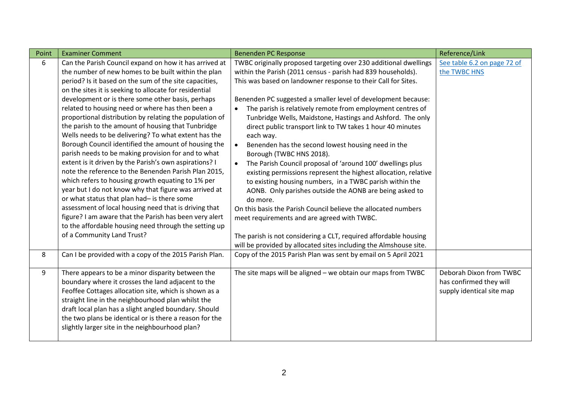| Point | <b>Examiner Comment</b>                                 | Benenden PC Response                                                    | Reference/Link              |
|-------|---------------------------------------------------------|-------------------------------------------------------------------------|-----------------------------|
| 6     | Can the Parish Council expand on how it has arrived at  | TWBC originally proposed targeting over 230 additional dwellings        | See table 6.2 on page 72 of |
|       | the number of new homes to be built within the plan     | within the Parish (2011 census - parish had 839 households).            | the TWBC HNS                |
|       | period? Is it based on the sum of the site capacities,  | This was based on landowner response to their Call for Sites.           |                             |
|       | on the sites it is seeking to allocate for residential  |                                                                         |                             |
|       | development or is there some other basis, perhaps       | Benenden PC suggested a smaller level of development because:           |                             |
|       | related to housing need or where has then been a        | The parish is relatively remote from employment centres of<br>$\bullet$ |                             |
|       | proportional distribution by relating the population of | Tunbridge Wells, Maidstone, Hastings and Ashford. The only              |                             |
|       | the parish to the amount of housing that Tunbridge      | direct public transport link to TW takes 1 hour 40 minutes              |                             |
|       | Wells needs to be delivering? To what extent has the    | each way.                                                               |                             |
|       | Borough Council identified the amount of housing the    | Benenden has the second lowest housing need in the<br>$\bullet$         |                             |
|       | parish needs to be making provision for and to what     | Borough (TWBC HNS 2018).                                                |                             |
|       | extent is it driven by the Parish's own aspirations? I  | The Parish Council proposal of 'around 100' dwellings plus<br>$\bullet$ |                             |
|       | note the reference to the Benenden Parish Plan 2015,    | existing permissions represent the highest allocation, relative         |                             |
|       | which refers to housing growth equating to 1% per       | to existing housing numbers, in a TWBC parish within the                |                             |
|       | year but I do not know why that figure was arrived at   | AONB. Only parishes outside the AONB are being asked to                 |                             |
|       | or what status that plan had- is there some             | do more.                                                                |                             |
|       | assessment of local housing need that is driving that   | On this basis the Parish Council believe the allocated numbers          |                             |
|       | figure? I am aware that the Parish has been very alert  | meet requirements and are agreed with TWBC.                             |                             |
|       | to the affordable housing need through the setting up   |                                                                         |                             |
|       | of a Community Land Trust?                              | The parish is not considering a CLT, required affordable housing        |                             |
|       |                                                         | will be provided by allocated sites including the Almshouse site.       |                             |
| 8     | Can I be provided with a copy of the 2015 Parish Plan.  | Copy of the 2015 Parish Plan was sent by email on 5 April 2021          |                             |
| 9     | There appears to be a minor disparity between the       | The site maps will be aligned $-$ we obtain our maps from TWBC          | Deborah Dixon from TWBC     |
|       | boundary where it crosses the land adjacent to the      |                                                                         | has confirmed they will     |
|       | Feoffee Cottages allocation site, which is shown as a   |                                                                         | supply identical site map   |
|       | straight line in the neighbourhood plan whilst the      |                                                                         |                             |
|       | draft local plan has a slight angled boundary. Should   |                                                                         |                             |
|       | the two plans be identical or is there a reason for the |                                                                         |                             |
|       | slightly larger site in the neighbourhood plan?         |                                                                         |                             |
|       |                                                         |                                                                         |                             |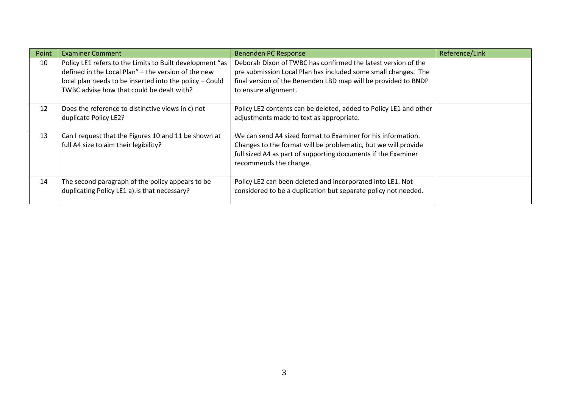| Point | <b>Examiner Comment</b>                                                                                         | <b>Benenden PC Response</b>                                                                                                                                                                                               | Reference/Link |
|-------|-----------------------------------------------------------------------------------------------------------------|---------------------------------------------------------------------------------------------------------------------------------------------------------------------------------------------------------------------------|----------------|
| 10    | Policy LE1 refers to the Limits to Built development "as<br>defined in the Local Plan" - the version of the new | Deborah Dixon of TWBC has confirmed the latest version of the<br>pre submission Local Plan has included some small changes. The                                                                                           |                |
|       | local plan needs to be inserted into the policy - Could<br>TWBC advise how that could be dealt with?            | final version of the Benenden LBD map will be provided to BNDP<br>to ensure alignment.                                                                                                                                    |                |
| 12    | Does the reference to distinctive views in c) not<br>duplicate Policy LE2?                                      | Policy LE2 contents can be deleted, added to Policy LE1 and other<br>adjustments made to text as appropriate.                                                                                                             |                |
| 13    | Can I request that the Figures 10 and 11 be shown at<br>full A4 size to aim their legibility?                   | We can send A4 sized format to Examiner for his information.<br>Changes to the format will be problematic, but we will provide<br>full sized A4 as part of supporting documents if the Examiner<br>recommends the change. |                |
| 14    | The second paragraph of the policy appears to be<br>duplicating Policy LE1 a). Is that necessary?               | Policy LE2 can been deleted and incorporated into LE1. Not<br>considered to be a duplication but separate policy not needed.                                                                                              |                |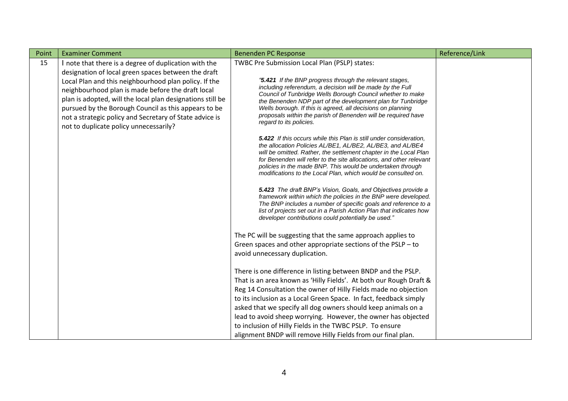| Point | <b>Examiner Comment</b>                                                                                                                                                                                                                                                      | <b>Benenden PC Response</b>                                                                                                                                                                                                                                                                                                                                                                                        | Reference/Link |
|-------|------------------------------------------------------------------------------------------------------------------------------------------------------------------------------------------------------------------------------------------------------------------------------|--------------------------------------------------------------------------------------------------------------------------------------------------------------------------------------------------------------------------------------------------------------------------------------------------------------------------------------------------------------------------------------------------------------------|----------------|
| 15    | I note that there is a degree of duplication with the<br>designation of local green spaces between the draft<br>Local Plan and this neighbourhood plan policy. If the                                                                                                        | TWBC Pre Submission Local Plan (PSLP) states:<br>"5.421 If the BNP progress through the relevant stages,<br>including referendum, a decision will be made by the Full                                                                                                                                                                                                                                              |                |
|       | neighbourhood plan is made before the draft local<br>plan is adopted, will the local plan designations still be<br>pursued by the Borough Council as this appears to be<br>not a strategic policy and Secretary of State advice is<br>not to duplicate policy unnecessarily? | Council of Tunbridge Wells Borough Council whether to make<br>the Benenden NDP part of the development plan for Tunbridge<br>Wells borough. If this is agreed, all decisions on planning<br>proposals within the parish of Benenden will be required have<br>regard to its policies.                                                                                                                               |                |
|       |                                                                                                                                                                                                                                                                              | <b>5.422</b> If this occurs while this Plan is still under consideration,<br>the allocation Policies AL/BE1, AL/BE2, AL/BE3, and AL/BE4<br>will be omitted. Rather, the settlement chapter in the Local Plan<br>for Benenden will refer to the site allocations, and other relevant<br>policies in the made BNP. This would be undertaken through<br>modifications to the Local Plan, which would be consulted on. |                |
|       |                                                                                                                                                                                                                                                                              | 5.423 The draft BNP's Vision, Goals, and Objectives provide a<br>framework within which the policies in the BNP were developed.<br>The BNP includes a number of specific goals and reference to a<br>list of projects set out in a Parish Action Plan that indicates how<br>developer contributions could potentially be used."                                                                                    |                |
|       |                                                                                                                                                                                                                                                                              | The PC will be suggesting that the same approach applies to<br>Green spaces and other appropriate sections of the PSLP - to<br>avoid unnecessary duplication.                                                                                                                                                                                                                                                      |                |
|       |                                                                                                                                                                                                                                                                              | There is one difference in listing between BNDP and the PSLP.<br>That is an area known as 'Hilly Fields'. At both our Rough Draft &<br>Reg 14 Consultation the owner of Hilly Fields made no objection<br>to its inclusion as a Local Green Space. In fact, feedback simply                                                                                                                                        |                |
|       |                                                                                                                                                                                                                                                                              | asked that we specify all dog owners should keep animals on a<br>lead to avoid sheep worrying. However, the owner has objected<br>to inclusion of Hilly Fields in the TWBC PSLP. To ensure<br>alignment BNDP will remove Hilly Fields from our final plan.                                                                                                                                                         |                |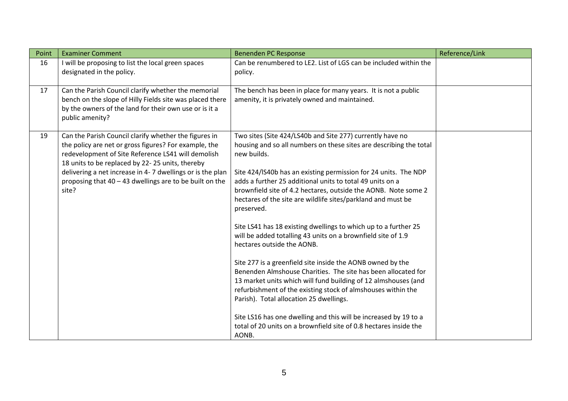| Point | <b>Examiner Comment</b>                                                                                                                                                                                                                                                                                                                                    | <b>Benenden PC Response</b>                                                                                                                                                                                                                                                                                                                                                                                                                                                                                                                                                                                                                                                                                                                                                                                                                                                                                                                                                                                                                                   | Reference/Link |
|-------|------------------------------------------------------------------------------------------------------------------------------------------------------------------------------------------------------------------------------------------------------------------------------------------------------------------------------------------------------------|---------------------------------------------------------------------------------------------------------------------------------------------------------------------------------------------------------------------------------------------------------------------------------------------------------------------------------------------------------------------------------------------------------------------------------------------------------------------------------------------------------------------------------------------------------------------------------------------------------------------------------------------------------------------------------------------------------------------------------------------------------------------------------------------------------------------------------------------------------------------------------------------------------------------------------------------------------------------------------------------------------------------------------------------------------------|----------------|
| 16    | I will be proposing to list the local green spaces<br>designated in the policy.                                                                                                                                                                                                                                                                            | Can be renumbered to LE2. List of LGS can be included within the<br>policy.                                                                                                                                                                                                                                                                                                                                                                                                                                                                                                                                                                                                                                                                                                                                                                                                                                                                                                                                                                                   |                |
| 17    | Can the Parish Council clarify whether the memorial<br>bench on the slope of Hilly Fields site was placed there<br>by the owners of the land for their own use or is it a<br>public amenity?                                                                                                                                                               | The bench has been in place for many years. It is not a public<br>amenity, it is privately owned and maintained.                                                                                                                                                                                                                                                                                                                                                                                                                                                                                                                                                                                                                                                                                                                                                                                                                                                                                                                                              |                |
| 19    | Can the Parish Council clarify whether the figures in<br>the policy are net or gross figures? For example, the<br>redevelopment of Site Reference LS41 will demolish<br>18 units to be replaced by 22-25 units, thereby<br>delivering a net increase in 4-7 dwellings or is the plan<br>proposing that $40 - 43$ dwellings are to be built on the<br>site? | Two sites (Site 424/LS40b and Site 277) currently have no<br>housing and so all numbers on these sites are describing the total<br>new builds.<br>Site 424/IS40b has an existing permission for 24 units. The NDP<br>adds a further 25 additional units to total 49 units on a<br>brownfield site of 4.2 hectares, outside the AONB. Note some 2<br>hectares of the site are wildlife sites/parkland and must be<br>preserved.<br>Site LS41 has 18 existing dwellings to which up to a further 25<br>will be added totalling 43 units on a brownfield site of 1.9<br>hectares outside the AONB.<br>Site 277 is a greenfield site inside the AONB owned by the<br>Benenden Almshouse Charities. The site has been allocated for<br>13 market units which will fund building of 12 almshouses (and<br>refurbishment of the existing stock of almshouses within the<br>Parish). Total allocation 25 dwellings.<br>Site LS16 has one dwelling and this will be increased by 19 to a<br>total of 20 units on a brownfield site of 0.8 hectares inside the<br>AONB. |                |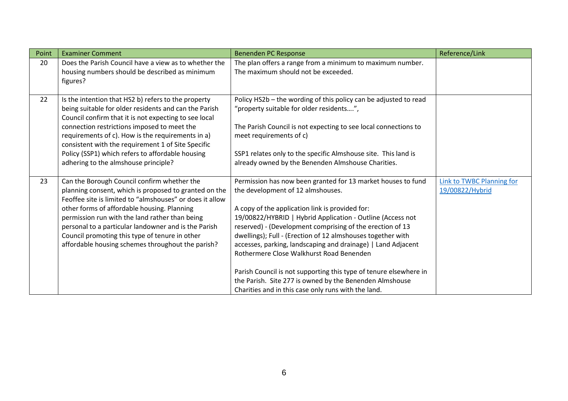| Point | <b>Examiner Comment</b>                                                                                        | <b>Benenden PC Response</b>                                                                              | Reference/Link            |
|-------|----------------------------------------------------------------------------------------------------------------|----------------------------------------------------------------------------------------------------------|---------------------------|
| 20    | Does the Parish Council have a view as to whether the                                                          | The plan offers a range from a minimum to maximum number.                                                |                           |
|       | housing numbers should be described as minimum<br>figures?                                                     | The maximum should not be exceeded.                                                                      |                           |
|       |                                                                                                                |                                                                                                          |                           |
| 22    | Is the intention that HS2 b) refers to the property                                                            | Policy HS2b - the wording of this policy can be adjusted to read                                         |                           |
|       | being suitable for older residents and can the Parish<br>Council confirm that it is not expecting to see local | "property suitable for older residents",                                                                 |                           |
|       | connection restrictions imposed to meet the                                                                    | The Parish Council is not expecting to see local connections to                                          |                           |
|       | requirements of c). How is the requirements in a)<br>consistent with the requirement 1 of Site Specific        | meet requirements of c)                                                                                  |                           |
|       | Policy (SSP1) which refers to affordable housing                                                               | SSP1 relates only to the specific Almshouse site. This land is                                           |                           |
|       | adhering to the almshouse principle?                                                                           | already owned by the Benenden Almshouse Charities.                                                       |                           |
| 23    | Can the Borough Council confirm whether the                                                                    | Permission has now been granted for 13 market houses to fund                                             | Link to TWBC Planning for |
|       | planning consent, which is proposed to granted on the                                                          | the development of 12 almshouses.                                                                        | 19/00822/Hybrid           |
|       | Feoffee site is limited to "almshouses" or does it allow<br>other forms of affordable housing. Planning        | A copy of the application link is provided for:                                                          |                           |
|       | permission run with the land rather than being                                                                 | 19/00822/HYBRID   Hybrid Application - Outline (Access not                                               |                           |
|       | personal to a particular landowner and is the Parish                                                           | reserved) - (Development comprising of the erection of 13                                                |                           |
|       | Council promoting this type of tenure in other                                                                 | dwellings); Full - (Erection of 12 almshouses together with                                              |                           |
|       | affordable housing schemes throughout the parish?                                                              | accesses, parking, landscaping and drainage)   Land Adjacent<br>Rothermere Close Walkhurst Road Benenden |                           |
|       |                                                                                                                |                                                                                                          |                           |
|       |                                                                                                                | Parish Council is not supporting this type of tenure elsewhere in                                        |                           |
|       |                                                                                                                | the Parish. Site 277 is owned by the Benenden Almshouse                                                  |                           |
|       |                                                                                                                | Charities and in this case only runs with the land.                                                      |                           |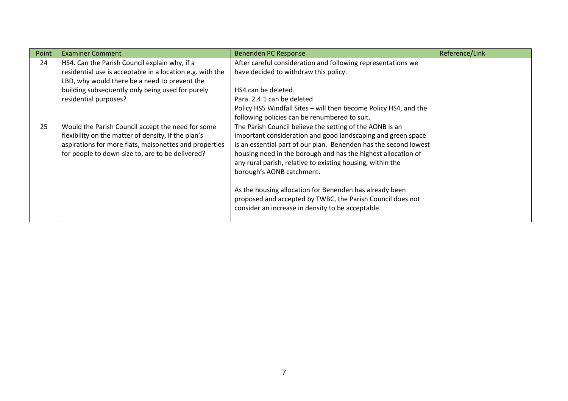| Point | <b>Examiner Comment</b>                                                                                                                                                                                                | <b>Benenden PC Response</b>                                                                                                                                                                                                                                                                                                                                                                                                                                                                                                            | Reference/Link |
|-------|------------------------------------------------------------------------------------------------------------------------------------------------------------------------------------------------------------------------|----------------------------------------------------------------------------------------------------------------------------------------------------------------------------------------------------------------------------------------------------------------------------------------------------------------------------------------------------------------------------------------------------------------------------------------------------------------------------------------------------------------------------------------|----------------|
| 24    | HS4. Can the Parish Council explain why, if a                                                                                                                                                                          | After careful consideration and following representations we                                                                                                                                                                                                                                                                                                                                                                                                                                                                           |                |
|       | residential use is acceptable in a location e.g. with the                                                                                                                                                              | have decided to withdraw this policy.                                                                                                                                                                                                                                                                                                                                                                                                                                                                                                  |                |
|       | LBD, why would there be a need to prevent the                                                                                                                                                                          |                                                                                                                                                                                                                                                                                                                                                                                                                                                                                                                                        |                |
|       | building subsequently only being used for purely                                                                                                                                                                       | HS4 can be deleted.                                                                                                                                                                                                                                                                                                                                                                                                                                                                                                                    |                |
|       | residential purposes?                                                                                                                                                                                                  | Para, 2.4.1 can be deleted                                                                                                                                                                                                                                                                                                                                                                                                                                                                                                             |                |
|       |                                                                                                                                                                                                                        | Policy HS5 Windfall Sites - will then become Policy HS4, and the                                                                                                                                                                                                                                                                                                                                                                                                                                                                       |                |
|       |                                                                                                                                                                                                                        | following policies can be renumbered to suit.                                                                                                                                                                                                                                                                                                                                                                                                                                                                                          |                |
| 25    | Would the Parish Council accept the need for some<br>flexibility on the matter of density, if the plan's<br>aspirations for more flats, maisonettes and properties<br>for people to down-size to, are to be delivered? | The Parish Council believe the setting of the AONB is an<br>important consideration and good landscaping and green space<br>is an essential part of our plan. Benenden has the second lowest<br>housing need in the borough and has the highest allocation of<br>any rural parish, relative to existing housing, within the<br>borough's AONB catchment.<br>As the housing allocation for Benenden has already been<br>proposed and accepted by TWBC, the Parish Council does not<br>consider an increase in density to be acceptable. |                |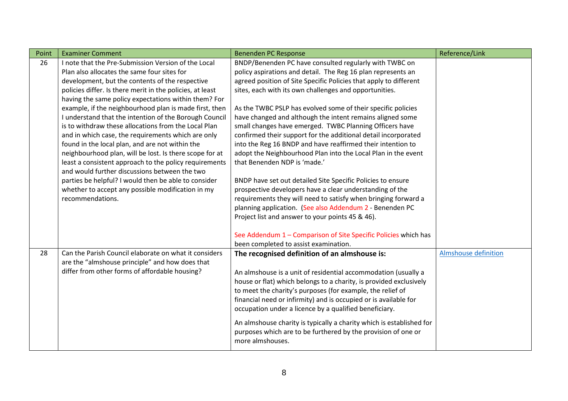| Point | <b>Examiner Comment</b>                                   | <b>Benenden PC Response</b>                                          | Reference/Link              |
|-------|-----------------------------------------------------------|----------------------------------------------------------------------|-----------------------------|
| 26    | I note that the Pre-Submission Version of the Local       | BNDP/Benenden PC have consulted regularly with TWBC on               |                             |
|       | Plan also allocates the same four sites for               | policy aspirations and detail. The Reg 16 plan represents an         |                             |
|       | development, but the contents of the respective           | agreed position of Site Specific Policies that apply to different    |                             |
|       | policies differ. Is there merit in the policies, at least | sites, each with its own challenges and opportunities.               |                             |
|       | having the same policy expectations within them? For      |                                                                      |                             |
|       | example, if the neighbourhood plan is made first, then    | As the TWBC PSLP has evolved some of their specific policies         |                             |
|       | I understand that the intention of the Borough Council    | have changed and although the intent remains aligned some            |                             |
|       | is to withdraw these allocations from the Local Plan      | small changes have emerged. TWBC Planning Officers have              |                             |
|       | and in which case, the requirements which are only        | confirmed their support for the additional detail incorporated       |                             |
|       | found in the local plan, and are not within the           | into the Reg 16 BNDP and have reaffirmed their intention to          |                             |
|       | neighbourhood plan, will be lost. Is there scope for at   | adopt the Neighbourhood Plan into the Local Plan in the event        |                             |
|       | least a consistent approach to the policy requirements    | that Benenden NDP is 'made.'                                         |                             |
|       | and would further discussions between the two             |                                                                      |                             |
|       | parties be helpful? I would then be able to consider      | BNDP have set out detailed Site Specific Policies to ensure          |                             |
|       | whether to accept any possible modification in my         | prospective developers have a clear understanding of the             |                             |
|       | recommendations.                                          | requirements they will need to satisfy when bringing forward a       |                             |
|       |                                                           | planning application. (See also Addendum 2 - Benenden PC             |                             |
|       |                                                           | Project list and answer to your points 45 & 46).                     |                             |
|       |                                                           |                                                                      |                             |
|       |                                                           | See Addendum 1 - Comparison of Site Specific Policies which has      |                             |
|       |                                                           | been completed to assist examination.                                |                             |
| 28    | Can the Parish Council elaborate on what it considers     | The recognised definition of an almshouse is:                        | <b>Almshouse definition</b> |
|       | are the "almshouse principle" and how does that           |                                                                      |                             |
|       | differ from other forms of affordable housing?            | An almshouse is a unit of residential accommodation (usually a       |                             |
|       |                                                           | house or flat) which belongs to a charity, is provided exclusively   |                             |
|       |                                                           | to meet the charity's purposes (for example, the relief of           |                             |
|       |                                                           | financial need or infirmity) and is occupied or is available for     |                             |
|       |                                                           | occupation under a licence by a qualified beneficiary.               |                             |
|       |                                                           | An almshouse charity is typically a charity which is established for |                             |
|       |                                                           | purposes which are to be furthered by the provision of one or        |                             |
|       |                                                           | more almshouses.                                                     |                             |
|       |                                                           |                                                                      |                             |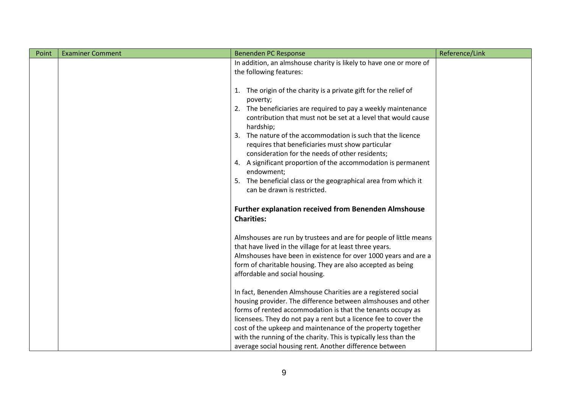| Point | <b>Examiner Comment</b> | Benenden PC Response                                                        | Reference/Link |
|-------|-------------------------|-----------------------------------------------------------------------------|----------------|
|       |                         | In addition, an almshouse charity is likely to have one or more of          |                |
|       |                         | the following features:                                                     |                |
|       |                         |                                                                             |                |
|       |                         | 1. The origin of the charity is a private gift for the relief of            |                |
|       |                         | poverty;                                                                    |                |
|       |                         | 2. The beneficiaries are required to pay a weekly maintenance               |                |
|       |                         | contribution that must not be set at a level that would cause               |                |
|       |                         | hardship;                                                                   |                |
|       |                         | 3. The nature of the accommodation is such that the licence                 |                |
|       |                         | requires that beneficiaries must show particular                            |                |
|       |                         | consideration for the needs of other residents;                             |                |
|       |                         | 4. A significant proportion of the accommodation is permanent<br>endowment; |                |
|       |                         | 5. The beneficial class or the geographical area from which it              |                |
|       |                         | can be drawn is restricted.                                                 |                |
|       |                         |                                                                             |                |
|       |                         | Further explanation received from Benenden Almshouse                        |                |
|       |                         | <b>Charities:</b>                                                           |                |
|       |                         |                                                                             |                |
|       |                         | Almshouses are run by trustees and are for people of little means           |                |
|       |                         | that have lived in the village for at least three years.                    |                |
|       |                         | Almshouses have been in existence for over 1000 years and are a             |                |
|       |                         | form of charitable housing. They are also accepted as being                 |                |
|       |                         | affordable and social housing.                                              |                |
|       |                         |                                                                             |                |
|       |                         | In fact, Benenden Almshouse Charities are a registered social               |                |
|       |                         | housing provider. The difference between almshouses and other               |                |
|       |                         | forms of rented accommodation is that the tenants occupy as                 |                |
|       |                         | licensees. They do not pay a rent but a licence fee to cover the            |                |
|       |                         | cost of the upkeep and maintenance of the property together                 |                |
|       |                         | with the running of the charity. This is typically less than the            |                |
|       |                         | average social housing rent. Another difference between                     |                |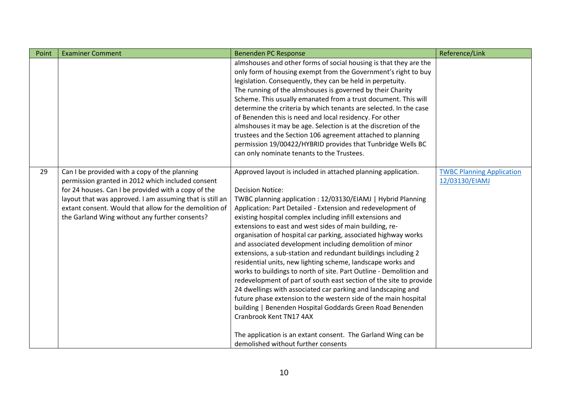| Point | <b>Examiner Comment</b>                                                                                                                                                                                                                                                                                                           | Benenden PC Response                                                                                                                                                                                                                                                                                                                                                                                                                                                                                                                                                                                                                                                                                                                                                                                                                                                                                                                                                                                                                                                                        | Reference/Link                                     |
|-------|-----------------------------------------------------------------------------------------------------------------------------------------------------------------------------------------------------------------------------------------------------------------------------------------------------------------------------------|---------------------------------------------------------------------------------------------------------------------------------------------------------------------------------------------------------------------------------------------------------------------------------------------------------------------------------------------------------------------------------------------------------------------------------------------------------------------------------------------------------------------------------------------------------------------------------------------------------------------------------------------------------------------------------------------------------------------------------------------------------------------------------------------------------------------------------------------------------------------------------------------------------------------------------------------------------------------------------------------------------------------------------------------------------------------------------------------|----------------------------------------------------|
|       |                                                                                                                                                                                                                                                                                                                                   | almshouses and other forms of social housing is that they are the<br>only form of housing exempt from the Government's right to buy<br>legislation. Consequently, they can be held in perpetuity.<br>The running of the almshouses is governed by their Charity<br>Scheme. This usually emanated from a trust document. This will<br>determine the criteria by which tenants are selected. In the case<br>of Benenden this is need and local residency. For other<br>almshouses it may be age. Selection is at the discretion of the<br>trustees and the Section 106 agreement attached to planning<br>permission 19/00422/HYBRID provides that Tunbridge Wells BC<br>can only nominate tenants to the Trustees.                                                                                                                                                                                                                                                                                                                                                                            |                                                    |
| 29    | Can I be provided with a copy of the planning<br>permission granted in 2012 which included consent<br>for 24 houses. Can I be provided with a copy of the<br>layout that was approved. I am assuming that is still an<br>extant consent. Would that allow for the demolition of<br>the Garland Wing without any further consents? | Approved layout is included in attached planning application.<br><b>Decision Notice:</b><br>TWBC planning application: 12/03130/EIAMJ   Hybrid Planning<br>Application: Part Detailed - Extension and redevelopment of<br>existing hospital complex including infill extensions and<br>extensions to east and west sides of main building, re-<br>organisation of hospital car parking, associated highway works<br>and associated development including demolition of minor<br>extensions, a sub-station and redundant buildings including 2<br>residential units, new lighting scheme, landscape works and<br>works to buildings to north of site. Part Outline - Demolition and<br>redevelopment of part of south east section of the site to provide<br>24 dwellings with associated car parking and landscaping and<br>future phase extension to the western side of the main hospital<br>building   Benenden Hospital Goddards Green Road Benenden<br>Cranbrook Kent TN17 4AX<br>The application is an extant consent. The Garland Wing can be<br>demolished without further consents | <b>TWBC Planning Application</b><br>12/03130/EIAMJ |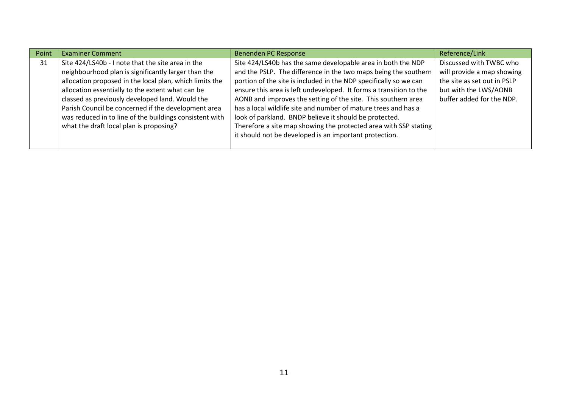| Point | <b>Examiner Comment</b>                                 | Benenden PC Response                                               | Reference/Link              |
|-------|---------------------------------------------------------|--------------------------------------------------------------------|-----------------------------|
| 31    | Site 424/LS40b - I note that the site area in the       | Site 424/LS40b has the same developable area in both the NDP       | Discussed with TWBC who     |
|       | neighbourhood plan is significantly larger than the     | and the PSLP. The difference in the two maps being the southern    | will provide a map showing  |
|       | allocation proposed in the local plan, which limits the | portion of the site is included in the NDP specifically so we can  | the site as set out in PSLP |
|       | allocation essentially to the extent what can be        | ensure this area is left undeveloped. It forms a transition to the | but with the LWS/AONB       |
|       | classed as previously developed land. Would the         | AONB and improves the setting of the site. This southern area      | buffer added for the NDP.   |
|       | Parish Council be concerned if the development area     | has a local wildlife site and number of mature trees and has a     |                             |
|       | was reduced in to line of the buildings consistent with | look of parkland. BNDP believe it should be protected.             |                             |
|       | what the draft local plan is proposing?                 | Therefore a site map showing the protected area with SSP stating   |                             |
|       |                                                         | it should not be developed is an important protection.             |                             |
|       |                                                         |                                                                    |                             |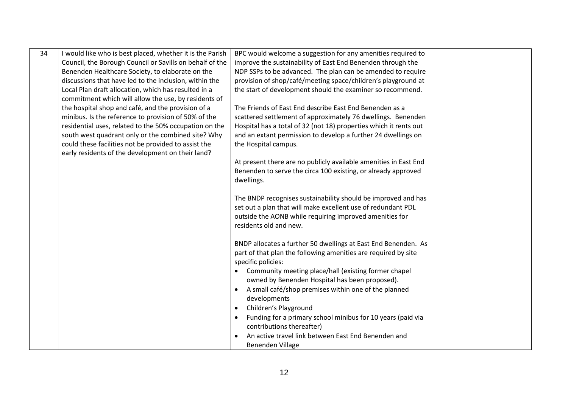| 34 | I would like who is best placed, whether it is the Parish | BPC would welcome a suggestion for any amenities required to             |  |
|----|-----------------------------------------------------------|--------------------------------------------------------------------------|--|
|    | Council, the Borough Council or Savills on behalf of the  | improve the sustainability of East End Benenden through the              |  |
|    | Benenden Healthcare Society, to elaborate on the          | NDP SSPs to be advanced. The plan can be amended to require              |  |
|    | discussions that have led to the inclusion, within the    | provision of shop/café/meeting space/children's playground at            |  |
|    | Local Plan draft allocation, which has resulted in a      | the start of development should the examiner so recommend.               |  |
|    | commitment which will allow the use, by residents of      |                                                                          |  |
|    | the hospital shop and café, and the provision of a        | The Friends of East End describe East End Benenden as a                  |  |
|    | minibus. Is the reference to provision of 50% of the      | scattered settlement of approximately 76 dwellings. Benenden             |  |
|    | residential uses, related to the 50% occupation on the    | Hospital has a total of 32 (not 18) properties which it rents out        |  |
|    | south west quadrant only or the combined site? Why        | and an extant permission to develop a further 24 dwellings on            |  |
|    | could these facilities not be provided to assist the      | the Hospital campus.                                                     |  |
|    | early residents of the development on their land?         |                                                                          |  |
|    |                                                           | At present there are no publicly available amenities in East End         |  |
|    |                                                           | Benenden to serve the circa 100 existing, or already approved            |  |
|    |                                                           | dwellings.                                                               |  |
|    |                                                           |                                                                          |  |
|    |                                                           | The BNDP recognises sustainability should be improved and has            |  |
|    |                                                           | set out a plan that will make excellent use of redundant PDL             |  |
|    |                                                           | outside the AONB while requiring improved amenities for                  |  |
|    |                                                           | residents old and new.                                                   |  |
|    |                                                           |                                                                          |  |
|    |                                                           | BNDP allocates a further 50 dwellings at East End Benenden. As           |  |
|    |                                                           | part of that plan the following amenities are required by site           |  |
|    |                                                           | specific policies:                                                       |  |
|    |                                                           | Community meeting place/hall (existing former chapel                     |  |
|    |                                                           | owned by Benenden Hospital has been proposed).                           |  |
|    |                                                           | A small café/shop premises within one of the planned<br>$\bullet$        |  |
|    |                                                           | developments                                                             |  |
|    |                                                           | Children's Playground<br>$\bullet$                                       |  |
|    |                                                           | Funding for a primary school minibus for 10 years (paid via<br>$\bullet$ |  |
|    |                                                           | contributions thereafter)                                                |  |
|    |                                                           | An active travel link between East End Benenden and<br>$\bullet$         |  |
|    |                                                           | Benenden Village                                                         |  |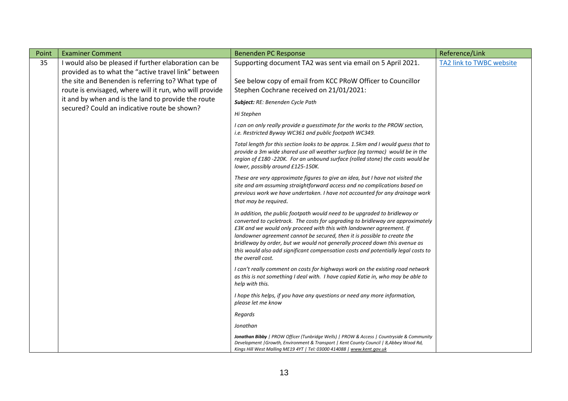| Point | <b>Examiner Comment</b>                                                                                        | Benenden PC Response                                                                                                                                                                                                                                                                                                                                                                                                                                                                                      | Reference/Link           |
|-------|----------------------------------------------------------------------------------------------------------------|-----------------------------------------------------------------------------------------------------------------------------------------------------------------------------------------------------------------------------------------------------------------------------------------------------------------------------------------------------------------------------------------------------------------------------------------------------------------------------------------------------------|--------------------------|
| 35    | I would also be pleased if further elaboration can be<br>provided as to what the "active travel link" between  | Supporting document TA2 was sent via email on 5 April 2021.                                                                                                                                                                                                                                                                                                                                                                                                                                               | TA2 link to TWBC website |
|       | the site and Benenden is referring to? What type of<br>route is envisaged, where will it run, who will provide | See below copy of email from KCC PRoW Officer to Councillor<br>Stephen Cochrane received on 21/01/2021:                                                                                                                                                                                                                                                                                                                                                                                                   |                          |
|       | it and by when and is the land to provide the route                                                            | Subject: RE: Benenden Cycle Path                                                                                                                                                                                                                                                                                                                                                                                                                                                                          |                          |
|       | secured? Could an indicative route be shown?                                                                   | Hi Stephen                                                                                                                                                                                                                                                                                                                                                                                                                                                                                                |                          |
|       |                                                                                                                | I can on only really provide a guesstimate for the works to the PROW section,<br>i.e. Restricted Byway WC361 and public footpath WC349.                                                                                                                                                                                                                                                                                                                                                                   |                          |
|       |                                                                                                                | Total length for this section looks to be approx. 1.5km and I would guess that to<br>provide a 3m wide shared use all weather surface (eg tarmac) would be in the<br>region of £180 -220K. For an unbound surface (rolled stone) the costs would be<br>lower, possibly around £125-150K.                                                                                                                                                                                                                  |                          |
|       |                                                                                                                | These are very approximate figures to give an idea, but I have not visited the<br>site and am assuming straightforward access and no complications based on<br>previous work we have undertaken. I have not accounted for any drainage work<br>that may be required.                                                                                                                                                                                                                                      |                          |
|       |                                                                                                                | In addition, the public footpath would need to be upgraded to bridleway or<br>converted to cycletrack. The costs for upgrading to bridleway are approximately<br>£3K and we would only proceed with this with landowner agreement. If<br>landowner agreement cannot be secured, then it is possible to create the<br>bridleway by order, but we would not generally proceed down this avenue as<br>this would also add significant compensation costs and potentially legal costs to<br>the overall cost. |                          |
|       |                                                                                                                | I can't really comment on costs for highways work on the existing road network<br>as this is not something I deal with. I have copied Katie in, who may be able to<br>help with this.                                                                                                                                                                                                                                                                                                                     |                          |
|       |                                                                                                                | I hope this helps, if you have any questions or need any more information,<br>please let me know                                                                                                                                                                                                                                                                                                                                                                                                          |                          |
|       |                                                                                                                | Regards                                                                                                                                                                                                                                                                                                                                                                                                                                                                                                   |                          |
|       |                                                                                                                | Jonathan                                                                                                                                                                                                                                                                                                                                                                                                                                                                                                  |                          |
|       |                                                                                                                | Jonathan Bibby   PROW Officer (Tunbridge Wells)   PROW & Access   Countryside & Community<br>Development   Growth, Environment & Transport   Kent County Council   8, Abbey Wood Rd,<br>Kings Hill West Malling ME19 4YT   Tel: 03000 414088   www.kent.gov.uk                                                                                                                                                                                                                                            |                          |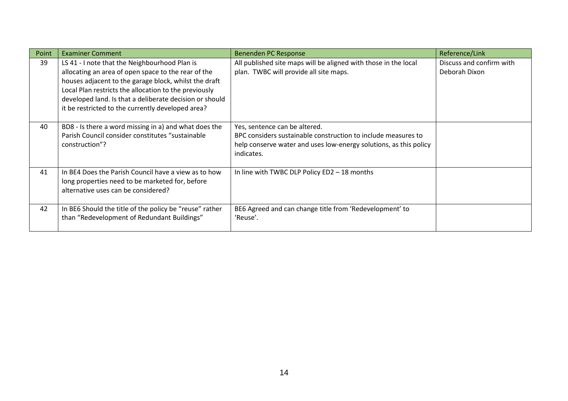| Point | <b>Examiner Comment</b>                                                                                                                                                                                                                                                                                                                | Benenden PC Response                                                                                                                                                              | Reference/Link                            |
|-------|----------------------------------------------------------------------------------------------------------------------------------------------------------------------------------------------------------------------------------------------------------------------------------------------------------------------------------------|-----------------------------------------------------------------------------------------------------------------------------------------------------------------------------------|-------------------------------------------|
| 39    | LS 41 - I note that the Neighbourhood Plan is<br>allocating an area of open space to the rear of the<br>houses adjacent to the garage block, whilst the draft<br>Local Plan restricts the allocation to the previously<br>developed land. Is that a deliberate decision or should<br>it be restricted to the currently developed area? | All published site maps will be aligned with those in the local<br>plan. TWBC will provide all site maps.                                                                         | Discuss and confirm with<br>Deborah Dixon |
| 40    | BD8 - Is there a word missing in a) and what does the<br>Parish Council consider constitutes "sustainable<br>construction"?                                                                                                                                                                                                            | Yes, sentence can be altered.<br>BPC considers sustainable construction to include measures to<br>help conserve water and uses low-energy solutions, as this policy<br>indicates. |                                           |
| 41    | In BE4 Does the Parish Council have a view as to how<br>long properties need to be marketed for, before<br>alternative uses can be considered?                                                                                                                                                                                         | In line with TWBC DLP Policy ED2 - 18 months                                                                                                                                      |                                           |
| 42    | In BE6 Should the title of the policy be "reuse" rather<br>than "Redevelopment of Redundant Buildings"                                                                                                                                                                                                                                 | BE6 Agreed and can change title from 'Redevelopment' to<br>'Reuse'.                                                                                                               |                                           |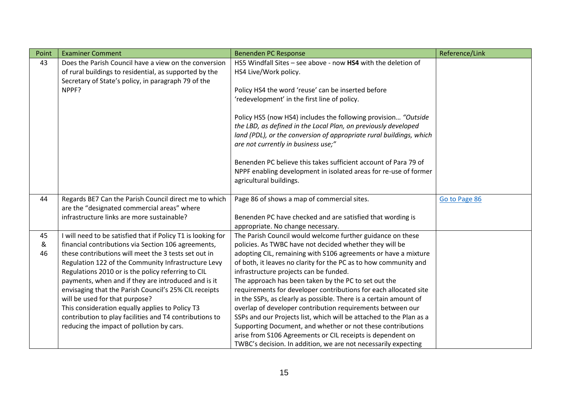| Point | <b>Examiner Comment</b>                                      | <b>Benenden PC Response</b>                                                                                                                                                                                                                    | Reference/Link |
|-------|--------------------------------------------------------------|------------------------------------------------------------------------------------------------------------------------------------------------------------------------------------------------------------------------------------------------|----------------|
| 43    | Does the Parish Council have a view on the conversion        | HS5 Windfall Sites - see above - now HS4 with the deletion of                                                                                                                                                                                  |                |
|       | of rural buildings to residential, as supported by the       | HS4 Live/Work policy.                                                                                                                                                                                                                          |                |
|       | Secretary of State's policy, in paragraph 79 of the          |                                                                                                                                                                                                                                                |                |
|       | NPPF?                                                        | Policy HS4 the word 'reuse' can be inserted before                                                                                                                                                                                             |                |
|       |                                                              | 'redevelopment' in the first line of policy.                                                                                                                                                                                                   |                |
|       |                                                              | Policy HS5 (now HS4) includes the following provision "Outside<br>the LBD, as defined in the Local Plan, on previously developed<br>land (PDL), or the conversion of appropriate rural buildings, which<br>are not currently in business use;" |                |
|       |                                                              | Benenden PC believe this takes sufficient account of Para 79 of                                                                                                                                                                                |                |
|       |                                                              | NPPF enabling development in isolated areas for re-use of former                                                                                                                                                                               |                |
|       |                                                              | agricultural buildings.                                                                                                                                                                                                                        |                |
|       |                                                              |                                                                                                                                                                                                                                                |                |
| 44    | Regards BE7 Can the Parish Council direct me to which        | Page 86 of shows a map of commercial sites.                                                                                                                                                                                                    | Go to Page 86  |
|       | are the "designated commercial areas" where                  |                                                                                                                                                                                                                                                |                |
|       | infrastructure links are more sustainable?                   | Benenden PC have checked and are satisfied that wording is                                                                                                                                                                                     |                |
|       |                                                              | appropriate. No change necessary.                                                                                                                                                                                                              |                |
| 45    | I will need to be satisfied that if Policy T1 is looking for | The Parish Council would welcome further guidance on these                                                                                                                                                                                     |                |
| &     | financial contributions via Section 106 agreements,          | policies. As TWBC have not decided whether they will be                                                                                                                                                                                        |                |
| 46    | these contributions will meet the 3 tests set out in         | adopting CIL, remaining with S106 agreements or have a mixture                                                                                                                                                                                 |                |
|       | Regulation 122 of the Community Infrastructure Levy          | of both, it leaves no clarity for the PC as to how community and                                                                                                                                                                               |                |
|       | Regulations 2010 or is the policy referring to CIL           | infrastructure projects can be funded.                                                                                                                                                                                                         |                |
|       | payments, when and if they are introduced and is it          | The approach has been taken by the PC to set out the                                                                                                                                                                                           |                |
|       | envisaging that the Parish Council's 25% CIL receipts        | requirements for developer contributions for each allocated site                                                                                                                                                                               |                |
|       | will be used for that purpose?                               | in the SSPs, as clearly as possible. There is a certain amount of                                                                                                                                                                              |                |
|       | This consideration equally applies to Policy T3              | overlap of developer contribution requirements between our                                                                                                                                                                                     |                |
|       | contribution to play facilities and T4 contributions to      | SSPs and our Projects list, which will be attached to the Plan as a                                                                                                                                                                            |                |
|       | reducing the impact of pollution by cars.                    | Supporting Document, and whether or not these contributions                                                                                                                                                                                    |                |
|       |                                                              | arise from S106 Agreements or CIL receipts is dependent on                                                                                                                                                                                     |                |
|       |                                                              | TWBC's decision. In addition, we are not necessarily expecting                                                                                                                                                                                 |                |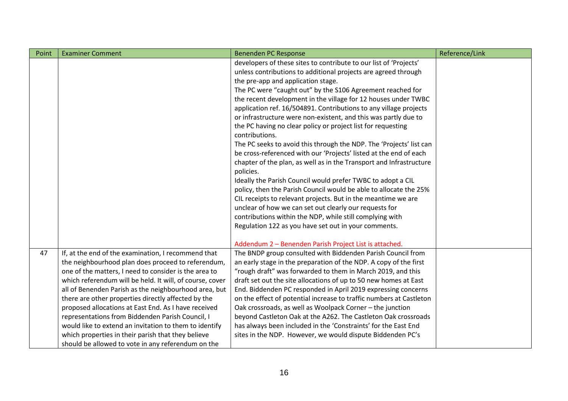| Point | <b>Examiner Comment</b>                                  | <b>Benenden PC Response</b>                                         | Reference/Link |
|-------|----------------------------------------------------------|---------------------------------------------------------------------|----------------|
|       |                                                          | developers of these sites to contribute to our list of 'Projects'   |                |
|       |                                                          | unless contributions to additional projects are agreed through      |                |
|       |                                                          | the pre-app and application stage.                                  |                |
|       |                                                          | The PC were "caught out" by the S106 Agreement reached for          |                |
|       |                                                          | the recent development in the village for 12 houses under TWBC      |                |
|       |                                                          | application ref. 16/504891. Contributions to any village projects   |                |
|       |                                                          | or infrastructure were non-existent, and this was partly due to     |                |
|       |                                                          | the PC having no clear policy or project list for requesting        |                |
|       |                                                          | contributions.                                                      |                |
|       |                                                          | The PC seeks to avoid this through the NDP. The 'Projects' list can |                |
|       |                                                          | be cross-referenced with our 'Projects' listed at the end of each   |                |
|       |                                                          | chapter of the plan, as well as in the Transport and Infrastructure |                |
|       |                                                          | policies.                                                           |                |
|       |                                                          | Ideally the Parish Council would prefer TWBC to adopt a CIL         |                |
|       |                                                          | policy, then the Parish Council would be able to allocate the 25%   |                |
|       |                                                          | CIL receipts to relevant projects. But in the meantime we are       |                |
|       |                                                          | unclear of how we can set out clearly our requests for              |                |
|       |                                                          | contributions within the NDP, while still complying with            |                |
|       |                                                          | Regulation 122 as you have set out in your comments.                |                |
|       |                                                          |                                                                     |                |
|       |                                                          | Addendum 2 - Benenden Parish Project List is attached.              |                |
| 47    | If, at the end of the examination, I recommend that      | The BNDP group consulted with Biddenden Parish Council from         |                |
|       | the neighbourhood plan does proceed to referendum,       | an early stage in the preparation of the NDP. A copy of the first   |                |
|       | one of the matters, I need to consider is the area to    | "rough draft" was forwarded to them in March 2019, and this         |                |
|       | which referendum will be held. It will, of course, cover | draft set out the site allocations of up to 50 new homes at East    |                |
|       | all of Benenden Parish as the neighbourhood area, but    | End. Biddenden PC responded in April 2019 expressing concerns       |                |
|       | there are other properties directly affected by the      | on the effect of potential increase to traffic numbers at Castleton |                |
|       | proposed allocations at East End. As I have received     | Oak crossroads, as well as Woolpack Corner - the junction           |                |
|       | representations from Biddenden Parish Council, I         | beyond Castleton Oak at the A262. The Castleton Oak crossroads      |                |
|       | would like to extend an invitation to them to identify   | has always been included in the 'Constraints' for the East End      |                |
|       | which properties in their parish that they believe       | sites in the NDP. However, we would dispute Biddenden PC's          |                |
|       | should be allowed to vote in any referendum on the       |                                                                     |                |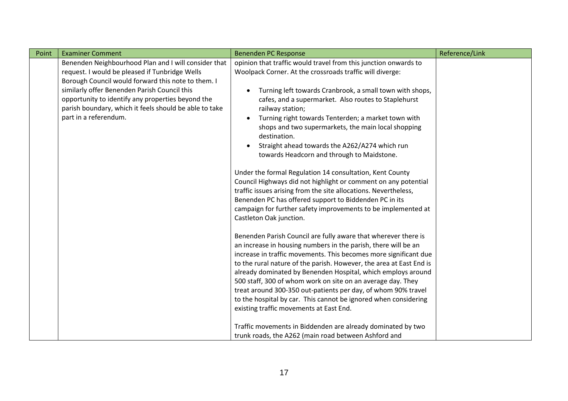| Point | <b>Examiner Comment</b>                                | <b>Benenden PC Response</b>                                         | Reference/Link |
|-------|--------------------------------------------------------|---------------------------------------------------------------------|----------------|
|       | Benenden Neighbourhood Plan and I will consider that   | opinion that traffic would travel from this junction onwards to     |                |
|       | request. I would be pleased if Tunbridge Wells         | Woolpack Corner. At the crossroads traffic will diverge:            |                |
|       | Borough Council would forward this note to them. I     |                                                                     |                |
|       | similarly offer Benenden Parish Council this           | Turning left towards Cranbrook, a small town with shops,            |                |
|       | opportunity to identify any properties beyond the      | cafes, and a supermarket. Also routes to Staplehurst                |                |
|       | parish boundary, which it feels should be able to take | railway station;                                                    |                |
|       | part in a referendum.                                  | Turning right towards Tenterden; a market town with<br>$\bullet$    |                |
|       |                                                        | shops and two supermarkets, the main local shopping<br>destination. |                |
|       |                                                        | Straight ahead towards the A262/A274 which run                      |                |
|       |                                                        | towards Headcorn and through to Maidstone.                          |                |
|       |                                                        |                                                                     |                |
|       |                                                        | Under the formal Regulation 14 consultation, Kent County            |                |
|       |                                                        | Council Highways did not highlight or comment on any potential      |                |
|       |                                                        | traffic issues arising from the site allocations. Nevertheless,     |                |
|       |                                                        | Benenden PC has offered support to Biddenden PC in its              |                |
|       |                                                        | campaign for further safety improvements to be implemented at       |                |
|       |                                                        | Castleton Oak junction.                                             |                |
|       |                                                        | Benenden Parish Council are fully aware that wherever there is      |                |
|       |                                                        | an increase in housing numbers in the parish, there will be an      |                |
|       |                                                        | increase in traffic movements. This becomes more significant due    |                |
|       |                                                        | to the rural nature of the parish. However, the area at East End is |                |
|       |                                                        | already dominated by Benenden Hospital, which employs around        |                |
|       |                                                        | 500 staff, 300 of whom work on site on an average day. They         |                |
|       |                                                        | treat around 300-350 out-patients per day, of whom 90% travel       |                |
|       |                                                        | to the hospital by car. This cannot be ignored when considering     |                |
|       |                                                        | existing traffic movements at East End.                             |                |
|       |                                                        | Traffic movements in Biddenden are already dominated by two         |                |
|       |                                                        | trunk roads, the A262 (main road between Ashford and                |                |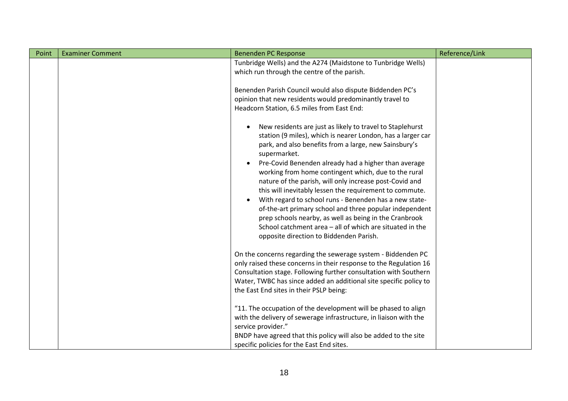| Point | <b>Examiner Comment</b> | <b>Benenden PC Response</b>                                                                                                                                                                                                                                                                                                                                                                                                                                                                                                                                                                                                                                                                                                                                  | Reference/Link |
|-------|-------------------------|--------------------------------------------------------------------------------------------------------------------------------------------------------------------------------------------------------------------------------------------------------------------------------------------------------------------------------------------------------------------------------------------------------------------------------------------------------------------------------------------------------------------------------------------------------------------------------------------------------------------------------------------------------------------------------------------------------------------------------------------------------------|----------------|
|       |                         | Tunbridge Wells) and the A274 (Maidstone to Tunbridge Wells)<br>which run through the centre of the parish.                                                                                                                                                                                                                                                                                                                                                                                                                                                                                                                                                                                                                                                  |                |
|       |                         | Benenden Parish Council would also dispute Biddenden PC's<br>opinion that new residents would predominantly travel to<br>Headcorn Station, 6.5 miles from East End:                                                                                                                                                                                                                                                                                                                                                                                                                                                                                                                                                                                          |                |
|       |                         | New residents are just as likely to travel to Staplehurst<br>٠<br>station (9 miles), which is nearer London, has a larger car<br>park, and also benefits from a large, new Sainsbury's<br>supermarket.<br>Pre-Covid Benenden already had a higher than average<br>$\bullet$<br>working from home contingent which, due to the rural<br>nature of the parish, will only increase post-Covid and<br>this will inevitably lessen the requirement to commute.<br>With regard to school runs - Benenden has a new state-<br>$\bullet$<br>of-the-art primary school and three popular independent<br>prep schools nearby, as well as being in the Cranbrook<br>School catchment area - all of which are situated in the<br>opposite direction to Biddenden Parish. |                |
|       |                         | On the concerns regarding the sewerage system - Biddenden PC<br>only raised these concerns in their response to the Regulation 16<br>Consultation stage. Following further consultation with Southern<br>Water, TWBC has since added an additional site specific policy to<br>the East End sites in their PSLP being:                                                                                                                                                                                                                                                                                                                                                                                                                                        |                |
|       |                         | "11. The occupation of the development will be phased to align<br>with the delivery of sewerage infrastructure, in liaison with the<br>service provider."<br>BNDP have agreed that this policy will also be added to the site<br>specific policies for the East End sites.                                                                                                                                                                                                                                                                                                                                                                                                                                                                                   |                |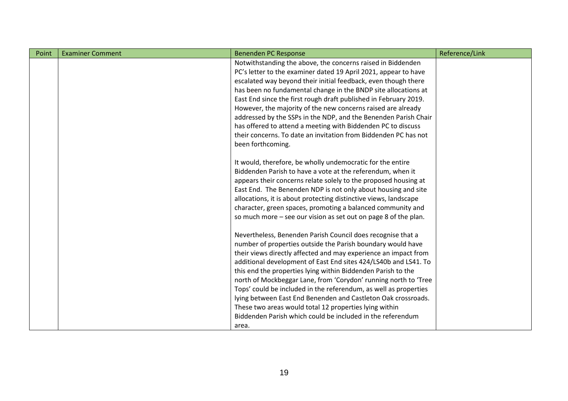| Point | <b>Examiner Comment</b> | <b>Benenden PC Response</b>                                      | Reference/Link |
|-------|-------------------------|------------------------------------------------------------------|----------------|
|       |                         | Notwithstanding the above, the concerns raised in Biddenden      |                |
|       |                         | PC's letter to the examiner dated 19 April 2021, appear to have  |                |
|       |                         | escalated way beyond their initial feedback, even though there   |                |
|       |                         | has been no fundamental change in the BNDP site allocations at   |                |
|       |                         | East End since the first rough draft published in February 2019. |                |
|       |                         | However, the majority of the new concerns raised are already     |                |
|       |                         | addressed by the SSPs in the NDP, and the Benenden Parish Chair  |                |
|       |                         | has offered to attend a meeting with Biddenden PC to discuss     |                |
|       |                         | their concerns. To date an invitation from Biddenden PC has not  |                |
|       |                         | been forthcoming.                                                |                |
|       |                         |                                                                  |                |
|       |                         | It would, therefore, be wholly undemocratic for the entire       |                |
|       |                         | Biddenden Parish to have a vote at the referendum, when it       |                |
|       |                         | appears their concerns relate solely to the proposed housing at  |                |
|       |                         | East End. The Benenden NDP is not only about housing and site    |                |
|       |                         | allocations, it is about protecting distinctive views, landscape |                |
|       |                         | character, green spaces, promoting a balanced community and      |                |
|       |                         | so much more - see our vision as set out on page 8 of the plan.  |                |
|       |                         | Nevertheless, Benenden Parish Council does recognise that a      |                |
|       |                         | number of properties outside the Parish boundary would have      |                |
|       |                         | their views directly affected and may experience an impact from  |                |
|       |                         | additional development of East End sites 424/LS40b and LS41. To  |                |
|       |                         | this end the properties lying within Biddenden Parish to the     |                |
|       |                         | north of Mockbeggar Lane, from 'Corydon' running north to 'Tree  |                |
|       |                         | Tops' could be included in the referendum, as well as properties |                |
|       |                         | lying between East End Benenden and Castleton Oak crossroads.    |                |
|       |                         | These two areas would total 12 properties lying within           |                |
|       |                         | Biddenden Parish which could be included in the referendum       |                |
|       |                         | area.                                                            |                |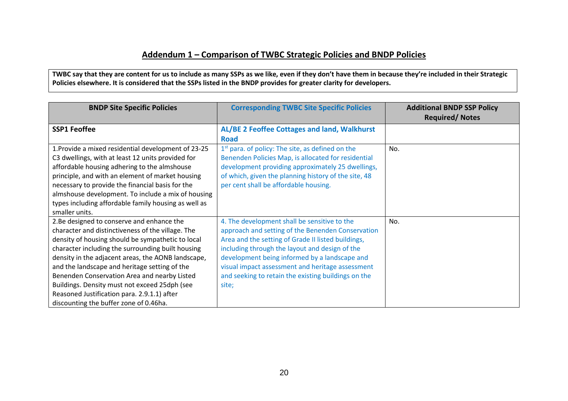## **Addendum 1 – Comparison of TWBC Strategic Policies and BNDP Policies**

**TWBC say that they are content for us to include as many SSPs as we like, even if they don't have them in because they're included in their Strategic Policies elsewhere. It is considered that the SSPs listed in the BNDP provides for greater clarity for developers.**

| <b>BNDP Site Specific Policies</b>                   | <b>Corresponding TWBC Site Specific Policies</b>     | <b>Additional BNDP SSP Policy</b><br><b>Required/Notes</b> |
|------------------------------------------------------|------------------------------------------------------|------------------------------------------------------------|
| <b>SSP1 Feoffee</b>                                  | AL/BE 2 Feoffee Cottages and land, Walkhurst         |                                                            |
|                                                      | <b>Road</b>                                          |                                                            |
| 1. Provide a mixed residential development of 23-25  | $1st$ para. of policy: The site, as defined on the   | No.                                                        |
| C3 dwellings, with at least 12 units provided for    | Benenden Policies Map, is allocated for residential  |                                                            |
| affordable housing adhering to the almshouse         | development providing approximately 25 dwellings,    |                                                            |
| principle, and with an element of market housing     | of which, given the planning history of the site, 48 |                                                            |
| necessary to provide the financial basis for the     | per cent shall be affordable housing.                |                                                            |
| almshouse development. To include a mix of housing   |                                                      |                                                            |
| types including affordable family housing as well as |                                                      |                                                            |
| smaller units.                                       |                                                      |                                                            |
| 2.Be designed to conserve and enhance the            | 4. The development shall be sensitive to the         | No.                                                        |
| character and distinctiveness of the village. The    | approach and setting of the Benenden Conservation    |                                                            |
| density of housing should be sympathetic to local    | Area and the setting of Grade II listed buildings,   |                                                            |
| character including the surrounding built housing    | including through the layout and design of the       |                                                            |
| density in the adjacent areas, the AONB landscape,   | development being informed by a landscape and        |                                                            |
| and the landscape and heritage setting of the        | visual impact assessment and heritage assessment     |                                                            |
| Benenden Conservation Area and nearby Listed         | and seeking to retain the existing buildings on the  |                                                            |
| Buildings. Density must not exceed 25dph (see        | site;                                                |                                                            |
| Reasoned Justification para. 2.9.1.1) after          |                                                      |                                                            |
| discounting the buffer zone of 0.46ha.               |                                                      |                                                            |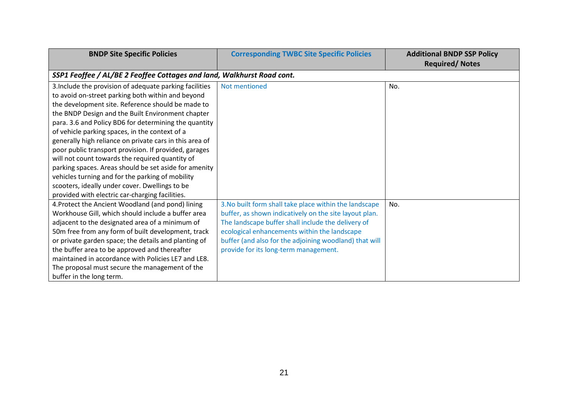| <b>BNDP Site Specific Policies</b>                                     | <b>Corresponding TWBC Site Specific Policies</b>       | <b>Additional BNDP SSP Policy</b> |
|------------------------------------------------------------------------|--------------------------------------------------------|-----------------------------------|
|                                                                        |                                                        | <b>Required/Notes</b>             |
| SSP1 Feoffee / AL/BE 2 Feoffee Cottages and land, Walkhurst Road cont. |                                                        |                                   |
| 3. Include the provision of adequate parking facilities                | Not mentioned                                          | No.                               |
| to avoid on-street parking both within and beyond                      |                                                        |                                   |
| the development site. Reference should be made to                      |                                                        |                                   |
| the BNDP Design and the Built Environment chapter                      |                                                        |                                   |
| para. 3.6 and Policy BD6 for determining the quantity                  |                                                        |                                   |
| of vehicle parking spaces, in the context of a                         |                                                        |                                   |
| generally high reliance on private cars in this area of                |                                                        |                                   |
| poor public transport provision. If provided, garages                  |                                                        |                                   |
| will not count towards the required quantity of                        |                                                        |                                   |
| parking spaces. Areas should be set aside for amenity                  |                                                        |                                   |
| vehicles turning and for the parking of mobility                       |                                                        |                                   |
| scooters, ideally under cover. Dwellings to be                         |                                                        |                                   |
| provided with electric car-charging facilities.                        |                                                        |                                   |
| 4. Protect the Ancient Woodland (and pond) lining                      | 3. No built form shall take place within the landscape | No.                               |
| Workhouse Gill, which should include a buffer area                     | buffer, as shown indicatively on the site layout plan. |                                   |
| adjacent to the designated area of a minimum of                        | The landscape buffer shall include the delivery of     |                                   |
| 50m free from any form of built development, track                     | ecological enhancements within the landscape           |                                   |
| or private garden space; the details and planting of                   | buffer (and also for the adjoining woodland) that will |                                   |
| the buffer area to be approved and thereafter                          | provide for its long-term management.                  |                                   |
| maintained in accordance with Policies LE7 and LE8.                    |                                                        |                                   |
| The proposal must secure the management of the                         |                                                        |                                   |
| buffer in the long term.                                               |                                                        |                                   |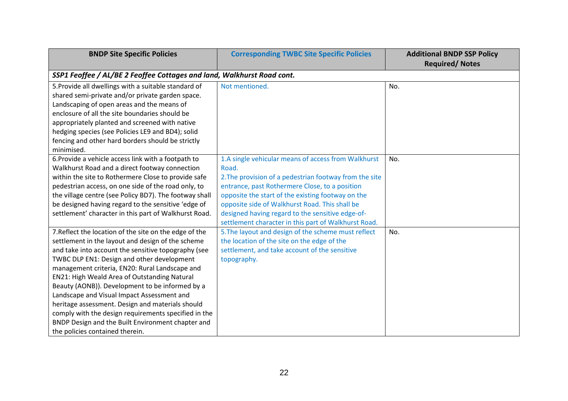| <b>BNDP Site Specific Policies</b>                                     | <b>Corresponding TWBC Site Specific Policies</b>       | <b>Additional BNDP SSP Policy</b><br><b>Required/Notes</b> |  |  |
|------------------------------------------------------------------------|--------------------------------------------------------|------------------------------------------------------------|--|--|
| SSP1 Feoffee / AL/BE 2 Feoffee Cottages and land, Walkhurst Road cont. |                                                        |                                                            |  |  |
| 5. Provide all dwellings with a suitable standard of                   | Not mentioned.                                         | No.                                                        |  |  |
| shared semi-private and/or private garden space.                       |                                                        |                                                            |  |  |
| Landscaping of open areas and the means of                             |                                                        |                                                            |  |  |
| enclosure of all the site boundaries should be                         |                                                        |                                                            |  |  |
| appropriately planted and screened with native                         |                                                        |                                                            |  |  |
| hedging species (see Policies LE9 and BD4); solid                      |                                                        |                                                            |  |  |
| fencing and other hard borders should be strictly                      |                                                        |                                                            |  |  |
| minimised.                                                             |                                                        |                                                            |  |  |
| 6. Provide a vehicle access link with a footpath to                    | 1.A single vehicular means of access from Walkhurst    | No.                                                        |  |  |
| Walkhurst Road and a direct footway connection                         | Road.                                                  |                                                            |  |  |
| within the site to Rothermere Close to provide safe                    | 2. The provision of a pedestrian footway from the site |                                                            |  |  |
| pedestrian access, on one side of the road only, to                    | entrance, past Rothermere Close, to a position         |                                                            |  |  |
| the village centre (see Policy BD7). The footway shall                 | opposite the start of the existing footway on the      |                                                            |  |  |
| be designed having regard to the sensitive 'edge of                    | opposite side of Walkhurst Road. This shall be         |                                                            |  |  |
| settlement' character in this part of Walkhurst Road.                  | designed having regard to the sensitive edge-of-       |                                                            |  |  |
|                                                                        | settlement character in this part of Walkhurst Road.   |                                                            |  |  |
| 7. Reflect the location of the site on the edge of the                 | 5. The layout and design of the scheme must reflect    | No.                                                        |  |  |
| settlement in the layout and design of the scheme                      | the location of the site on the edge of the            |                                                            |  |  |
| and take into account the sensitive topography (see                    | settlement, and take account of the sensitive          |                                                            |  |  |
| TWBC DLP EN1: Design and other development                             | topography.                                            |                                                            |  |  |
| management criteria, EN20: Rural Landscape and                         |                                                        |                                                            |  |  |
| EN21: High Weald Area of Outstanding Natural                           |                                                        |                                                            |  |  |
| Beauty (AONB)). Development to be informed by a                        |                                                        |                                                            |  |  |
| Landscape and Visual Impact Assessment and                             |                                                        |                                                            |  |  |
| heritage assessment. Design and materials should                       |                                                        |                                                            |  |  |
| comply with the design requirements specified in the                   |                                                        |                                                            |  |  |
| BNDP Design and the Built Environment chapter and                      |                                                        |                                                            |  |  |
| the policies contained therein.                                        |                                                        |                                                            |  |  |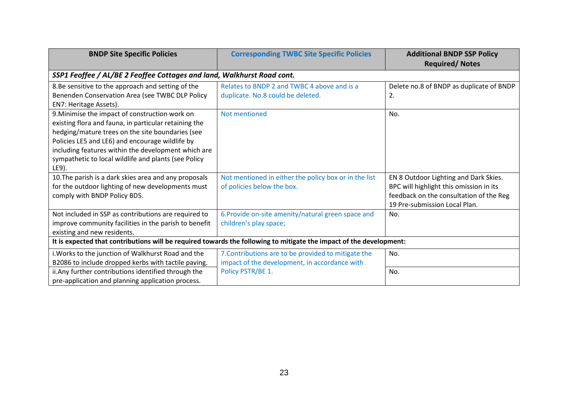| <b>BNDP Site Specific Policies</b>                                                                                                                                                                                                                                                                                                     | <b>Corresponding TWBC Site Specific Policies</b>                                                                                                                                                    | <b>Additional BNDP SSP Policy</b><br><b>Required/Notes</b>                                                                                                   |
|----------------------------------------------------------------------------------------------------------------------------------------------------------------------------------------------------------------------------------------------------------------------------------------------------------------------------------------|-----------------------------------------------------------------------------------------------------------------------------------------------------------------------------------------------------|--------------------------------------------------------------------------------------------------------------------------------------------------------------|
| SSP1 Feoffee / AL/BE 2 Feoffee Cottages and land, Walkhurst Road cont.                                                                                                                                                                                                                                                                 |                                                                                                                                                                                                     |                                                                                                                                                              |
| 8.Be sensitive to the approach and setting of the<br>Benenden Conservation Area (see TWBC DLP Policy<br>EN7: Heritage Assets).                                                                                                                                                                                                         | Relates to BNDP 2 and TWBC 4 above and is a<br>duplicate. No.8 could be deleted.                                                                                                                    | Delete no.8 of BNDP as duplicate of BNDP<br>2.                                                                                                               |
| 9. Minimise the impact of construction work on<br>existing flora and fauna, in particular retaining the<br>hedging/mature trees on the site boundaries (see<br>Policies LE5 and LE6) and encourage wildlife by<br>including features within the development which are<br>sympathetic to local wildlife and plants (see Policy<br>LE9). | Not mentioned                                                                                                                                                                                       | No.                                                                                                                                                          |
| 10. The parish is a dark skies area and any proposals<br>for the outdoor lighting of new developments must<br>comply with BNDP Policy BD5.                                                                                                                                                                                             | Not mentioned in either the policy box or in the list<br>of policies below the box.                                                                                                                 | EN 8 Outdoor Lighting and Dark Skies.<br>BPC will highlight this omission in its<br>feedback on the consultation of the Reg<br>19 Pre-submission Local Plan. |
| Not included in SSP as contributions are required to<br>improve community facilities in the parish to benefit<br>existing and new residents.                                                                                                                                                                                           | 6. Provide on-site amenity/natural green space and<br>children's play space;<br>It is expected that contributions will be required towards the following to mitigate the impact of the development: | No.                                                                                                                                                          |
| i. Works to the junction of Walkhurst Road and the<br>B2086 to include dropped kerbs with tactile paving.                                                                                                                                                                                                                              | 7. Contributions are to be provided to mitigate the<br>impact of the development, in accordance with                                                                                                | No.                                                                                                                                                          |
| ii. Any further contributions identified through the<br>pre-application and planning application process.                                                                                                                                                                                                                              | Policy PSTR/BE 1.                                                                                                                                                                                   | No.                                                                                                                                                          |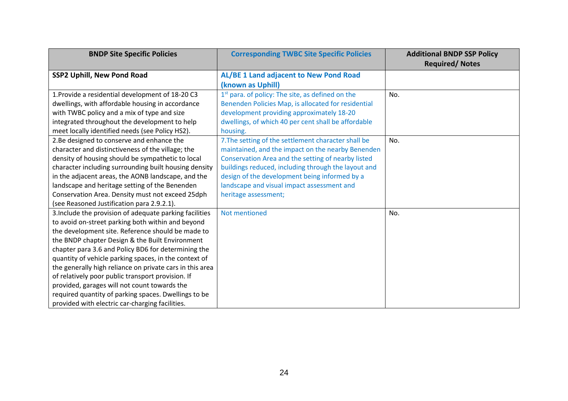| <b>BNDP Site Specific Policies</b>                       | <b>Corresponding TWBC Site Specific Policies</b>             | <b>Additional BNDP SSP Policy</b><br><b>Required/Notes</b> |
|----------------------------------------------------------|--------------------------------------------------------------|------------------------------------------------------------|
| <b>SSP2 Uphill, New Pond Road</b>                        | AL/BE 1 Land adjacent to New Pond Road                       |                                                            |
|                                                          | (known as Uphill)                                            |                                                            |
| 1. Provide a residential development of 18-20 C3         | 1 <sup>st</sup> para. of policy: The site, as defined on the | No.                                                        |
| dwellings, with affordable housing in accordance         | Benenden Policies Map, is allocated for residential          |                                                            |
| with TWBC policy and a mix of type and size              | development providing approximately 18-20                    |                                                            |
| integrated throughout the development to help            | dwellings, of which 40 per cent shall be affordable          |                                                            |
| meet locally identified needs (see Policy HS2).          | housing.                                                     |                                                            |
| 2.Be designed to conserve and enhance the                | 7. The setting of the settlement character shall be          | No.                                                        |
| character and distinctiveness of the village; the        | maintained, and the impact on the nearby Benenden            |                                                            |
| density of housing should be sympathetic to local        | Conservation Area and the setting of nearby listed           |                                                            |
| character including surrounding built housing density    | buildings reduced, including through the layout and          |                                                            |
| in the adjacent areas, the AONB landscape, and the       | design of the development being informed by a                |                                                            |
| landscape and heritage setting of the Benenden           | landscape and visual impact assessment and                   |                                                            |
| Conservation Area. Density must not exceed 25dph         | heritage assessment;                                         |                                                            |
| (see Reasoned Justification para 2.9.2.1).               |                                                              |                                                            |
| 3. Include the provision of adequate parking facilities  | Not mentioned                                                | No.                                                        |
| to avoid on-street parking both within and beyond        |                                                              |                                                            |
| the development site. Reference should be made to        |                                                              |                                                            |
| the BNDP chapter Design & the Built Environment          |                                                              |                                                            |
| chapter para 3.6 and Policy BD6 for determining the      |                                                              |                                                            |
| quantity of vehicle parking spaces, in the context of    |                                                              |                                                            |
| the generally high reliance on private cars in this area |                                                              |                                                            |
| of relatively poor public transport provision. If        |                                                              |                                                            |
| provided, garages will not count towards the             |                                                              |                                                            |
| required quantity of parking spaces. Dwellings to be     |                                                              |                                                            |
| provided with electric car-charging facilities.          |                                                              |                                                            |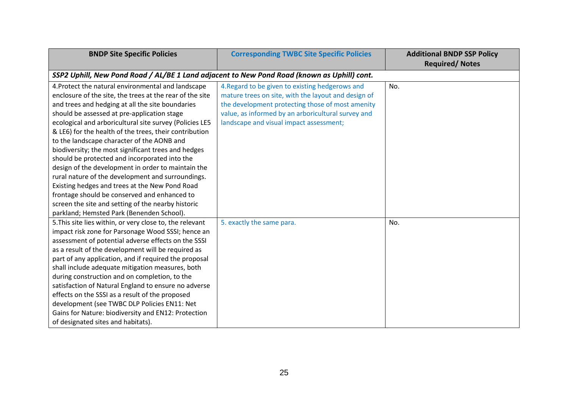| <b>BNDP Site Specific Policies</b>                                                          | <b>Corresponding TWBC Site Specific Policies</b>    | <b>Additional BNDP SSP Policy</b><br><b>Required/ Notes</b> |
|---------------------------------------------------------------------------------------------|-----------------------------------------------------|-------------------------------------------------------------|
| SSP2 Uphill, New Pond Road / AL/BE 1 Land adjacent to New Pond Road (known as Uphill) cont. |                                                     |                                                             |
| 4. Protect the natural environmental and landscape                                          | 4. Regard to be given to existing hedgerows and     | No.                                                         |
| enclosure of the site, the trees at the rear of the site                                    | mature trees on site, with the layout and design of |                                                             |
| and trees and hedging at all the site boundaries                                            | the development protecting those of most amenity    |                                                             |
| should be assessed at pre-application stage                                                 | value, as informed by an arboricultural survey and  |                                                             |
| ecological and arboricultural site survey (Policies LE5                                     | landscape and visual impact assessment;             |                                                             |
| & LE6) for the health of the trees, their contribution                                      |                                                     |                                                             |
| to the landscape character of the AONB and                                                  |                                                     |                                                             |
| biodiversity; the most significant trees and hedges                                         |                                                     |                                                             |
| should be protected and incorporated into the                                               |                                                     |                                                             |
| design of the development in order to maintain the                                          |                                                     |                                                             |
| rural nature of the development and surroundings.                                           |                                                     |                                                             |
| Existing hedges and trees at the New Pond Road                                              |                                                     |                                                             |
| frontage should be conserved and enhanced to                                                |                                                     |                                                             |
| screen the site and setting of the nearby historic                                          |                                                     |                                                             |
| parkland; Hemsted Park (Benenden School).                                                   |                                                     |                                                             |
| 5. This site lies within, or very close to, the relevant                                    | 5. exactly the same para.                           | No.                                                         |
| impact risk zone for Parsonage Wood SSSI; hence an                                          |                                                     |                                                             |
| assessment of potential adverse effects on the SSSI                                         |                                                     |                                                             |
| as a result of the development will be required as                                          |                                                     |                                                             |
| part of any application, and if required the proposal                                       |                                                     |                                                             |
| shall include adequate mitigation measures, both                                            |                                                     |                                                             |
| during construction and on completion, to the                                               |                                                     |                                                             |
| satisfaction of Natural England to ensure no adverse                                        |                                                     |                                                             |
| effects on the SSSI as a result of the proposed                                             |                                                     |                                                             |
| development (see TWBC DLP Policies EN11: Net                                                |                                                     |                                                             |
| Gains for Nature: biodiversity and EN12: Protection                                         |                                                     |                                                             |
| of designated sites and habitats).                                                          |                                                     |                                                             |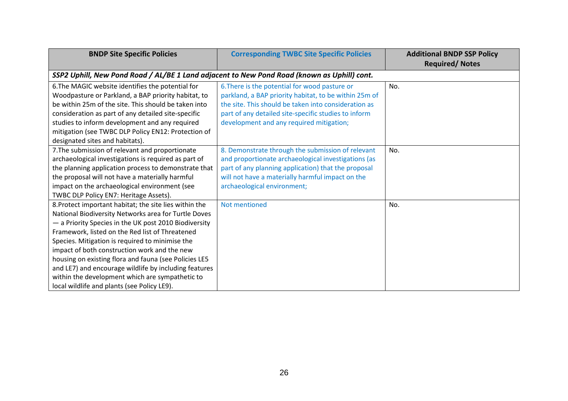| <b>BNDP Site Specific Policies</b>                                                          | <b>Corresponding TWBC Site Specific Policies</b>      | <b>Additional BNDP SSP Policy</b> |
|---------------------------------------------------------------------------------------------|-------------------------------------------------------|-----------------------------------|
|                                                                                             |                                                       | <b>Required/ Notes</b>            |
| SSP2 Uphill, New Pond Road / AL/BE 1 Land adjacent to New Pond Road (known as Uphill) cont. |                                                       |                                   |
| 6. The MAGIC website identifies the potential for                                           | 6. There is the potential for wood pasture or         | No.                               |
| Woodpasture or Parkland, a BAP priority habitat, to                                         | parkland, a BAP priority habitat, to be within 25m of |                                   |
| be within 25m of the site. This should be taken into                                        | the site. This should be taken into consideration as  |                                   |
| consideration as part of any detailed site-specific                                         | part of any detailed site-specific studies to inform  |                                   |
| studies to inform development and any required                                              | development and any required mitigation;              |                                   |
| mitigation (see TWBC DLP Policy EN12: Protection of                                         |                                                       |                                   |
| designated sites and habitats).                                                             |                                                       |                                   |
| 7. The submission of relevant and proportionate                                             | 8. Demonstrate through the submission of relevant     | No.                               |
| archaeological investigations is required as part of                                        | and proportionate archaeological investigations (as   |                                   |
| the planning application process to demonstrate that                                        | part of any planning application) that the proposal   |                                   |
| the proposal will not have a materially harmful                                             | will not have a materially harmful impact on the      |                                   |
| impact on the archaeological environment (see                                               | archaeological environment;                           |                                   |
| TWBC DLP Policy EN7: Heritage Assets).                                                      |                                                       |                                   |
| 8. Protect important habitat; the site lies within the                                      | Not mentioned                                         | No.                               |
| National Biodiversity Networks area for Turtle Doves                                        |                                                       |                                   |
| - a Priority Species in the UK post 2010 Biodiversity                                       |                                                       |                                   |
| Framework, listed on the Red list of Threatened                                             |                                                       |                                   |
| Species. Mitigation is required to minimise the                                             |                                                       |                                   |
| impact of both construction work and the new                                                |                                                       |                                   |
| housing on existing flora and fauna (see Policies LE5                                       |                                                       |                                   |
| and LE7) and encourage wildlife by including features                                       |                                                       |                                   |
| within the development which are sympathetic to                                             |                                                       |                                   |
| local wildlife and plants (see Policy LE9).                                                 |                                                       |                                   |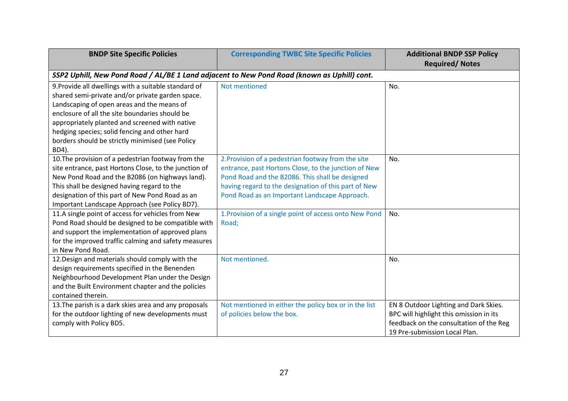| <b>BNDP Site Specific Policies</b>                                                          | <b>Corresponding TWBC Site Specific Policies</b>       | <b>Additional BNDP SSP Policy</b><br><b>Required/ Notes</b>                        |
|---------------------------------------------------------------------------------------------|--------------------------------------------------------|------------------------------------------------------------------------------------|
| SSP2 Uphill, New Pond Road / AL/BE 1 Land adjacent to New Pond Road (known as Uphill) cont. |                                                        |                                                                                    |
| 9. Provide all dwellings with a suitable standard of                                        | Not mentioned                                          | No.                                                                                |
| shared semi-private and/or private garden space.                                            |                                                        |                                                                                    |
| Landscaping of open areas and the means of                                                  |                                                        |                                                                                    |
| enclosure of all the site boundaries should be                                              |                                                        |                                                                                    |
| appropriately planted and screened with native                                              |                                                        |                                                                                    |
| hedging species; solid fencing and other hard                                               |                                                        |                                                                                    |
| borders should be strictly minimised (see Policy                                            |                                                        |                                                                                    |
| BD4).                                                                                       |                                                        |                                                                                    |
| 10. The provision of a pedestrian footway from the                                          | 2. Provision of a pedestrian footway from the site     | No.                                                                                |
| site entrance, past Hortons Close, to the junction of                                       | entrance, past Hortons Close, to the junction of New   |                                                                                    |
| New Pond Road and the B2086 (on highways land).                                             | Pond Road and the B2086. This shall be designed        |                                                                                    |
| This shall be designed having regard to the                                                 | having regard to the designation of this part of New   |                                                                                    |
| designation of this part of New Pond Road as an                                             | Pond Road as an Important Landscape Approach.          |                                                                                    |
| Important Landscape Approach (see Policy BD7).                                              |                                                        |                                                                                    |
| 11.A single point of access for vehicles from New                                           | 1. Provision of a single point of access onto New Pond | No.                                                                                |
| Pond Road should be designed to be compatible with                                          | Road;                                                  |                                                                                    |
| and support the implementation of approved plans                                            |                                                        |                                                                                    |
| for the improved traffic calming and safety measures                                        |                                                        |                                                                                    |
| in New Pond Road.                                                                           |                                                        |                                                                                    |
| 12. Design and materials should comply with the                                             | Not mentioned.                                         | No.                                                                                |
| design requirements specified in the Benenden                                               |                                                        |                                                                                    |
| Neighbourhood Development Plan under the Design                                             |                                                        |                                                                                    |
| and the Built Environment chapter and the policies                                          |                                                        |                                                                                    |
| contained therein.                                                                          |                                                        |                                                                                    |
| 13. The parish is a dark skies area and any proposals                                       | Not mentioned in either the policy box or in the list  | EN 8 Outdoor Lighting and Dark Skies.                                              |
| for the outdoor lighting of new developments must<br>comply with Policy BD5.                | of policies below the box.                             | BPC will highlight this omission in its<br>feedback on the consultation of the Reg |
|                                                                                             |                                                        | 19 Pre-submission Local Plan.                                                      |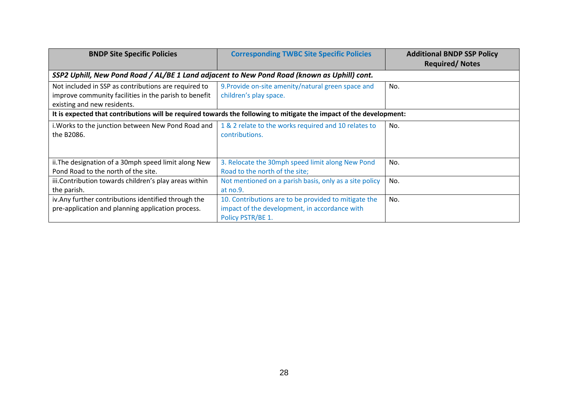| <b>BNDP Site Specific Policies</b>                                                                                  | <b>Corresponding TWBC Site Specific Policies</b>       | <b>Additional BNDP SSP Policy</b><br><b>Required/Notes</b> |
|---------------------------------------------------------------------------------------------------------------------|--------------------------------------------------------|------------------------------------------------------------|
| SSP2 Uphill, New Pond Road / AL/BE 1 Land adjacent to New Pond Road (known as Uphill) cont.                         |                                                        |                                                            |
| Not included in SSP as contributions are required to                                                                | 9. Provide on-site amenity/natural green space and     | No.                                                        |
| improve community facilities in the parish to benefit                                                               | children's play space.                                 |                                                            |
| existing and new residents.                                                                                         |                                                        |                                                            |
| It is expected that contributions will be required towards the following to mitigate the impact of the development: |                                                        |                                                            |
| i. Works to the junction between New Pond Road and                                                                  | 1 & 2 relate to the works required and 10 relates to   | No.                                                        |
| the B2086.                                                                                                          | contributions.                                         |                                                            |
|                                                                                                                     |                                                        |                                                            |
| ii. The designation of a 30mph speed limit along New                                                                | 3. Relocate the 30mph speed limit along New Pond       | No.                                                        |
| Pond Road to the north of the site.                                                                                 | Road to the north of the site;                         |                                                            |
| iii. Contribution towards children's play areas within                                                              | Not mentioned on a parish basis, only as a site policy | No.                                                        |
| the parish.                                                                                                         | at no.9.                                               |                                                            |
| iv. Any further contributions identified through the                                                                | 10. Contributions are to be provided to mitigate the   | No.                                                        |
| pre-application and planning application process.                                                                   | impact of the development, in accordance with          |                                                            |
|                                                                                                                     | Policy PSTR/BE 1.                                      |                                                            |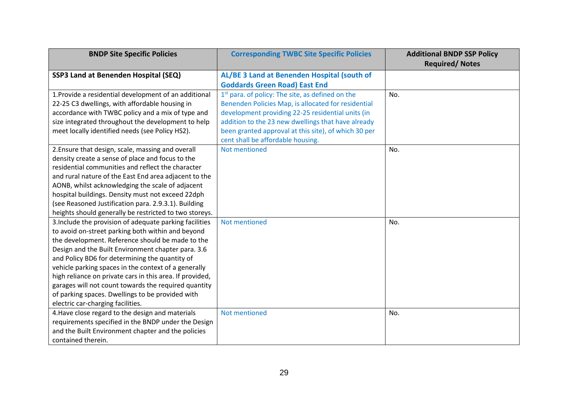| <b>BNDP Site Specific Policies</b>                       | <b>Corresponding TWBC Site Specific Policies</b>             | <b>Additional BNDP SSP Policy</b><br><b>Required/ Notes</b> |
|----------------------------------------------------------|--------------------------------------------------------------|-------------------------------------------------------------|
| SSP3 Land at Benenden Hospital (SEQ)                     | AL/BE 3 Land at Benenden Hospital (south of                  |                                                             |
|                                                          | <b>Goddards Green Road) East End</b>                         |                                                             |
| 1. Provide a residential development of an additional    | 1 <sup>st</sup> para. of policy: The site, as defined on the | No.                                                         |
| 22-25 C3 dwellings, with affordable housing in           | Benenden Policies Map, is allocated for residential          |                                                             |
| accordance with TWBC policy and a mix of type and        | development providing 22-25 residential units (in            |                                                             |
| size integrated throughout the development to help       | addition to the 23 new dwellings that have already           |                                                             |
| meet locally identified needs (see Policy HS2).          | been granted approval at this site), of which 30 per         |                                                             |
|                                                          | cent shall be affordable housing.                            |                                                             |
| 2. Ensure that design, scale, massing and overall        | Not mentioned                                                | No.                                                         |
| density create a sense of place and focus to the         |                                                              |                                                             |
| residential communities and reflect the character        |                                                              |                                                             |
| and rural nature of the East End area adjacent to the    |                                                              |                                                             |
| AONB, whilst acknowledging the scale of adjacent         |                                                              |                                                             |
| hospital buildings. Density must not exceed 22dph        |                                                              |                                                             |
| (see Reasoned Justification para. 2.9.3.1). Building     |                                                              |                                                             |
| heights should generally be restricted to two storeys.   |                                                              |                                                             |
| 3. Include the provision of adequate parking facilities  | Not mentioned                                                | No.                                                         |
| to avoid on-street parking both within and beyond        |                                                              |                                                             |
| the development. Reference should be made to the         |                                                              |                                                             |
| Design and the Built Environment chapter para. 3.6       |                                                              |                                                             |
| and Policy BD6 for determining the quantity of           |                                                              |                                                             |
| vehicle parking spaces in the context of a generally     |                                                              |                                                             |
| high reliance on private cars in this area. If provided, |                                                              |                                                             |
| garages will not count towards the required quantity     |                                                              |                                                             |
| of parking spaces. Dwellings to be provided with         |                                                              |                                                             |
| electric car-charging facilities.                        |                                                              |                                                             |
| 4. Have close regard to the design and materials         | Not mentioned                                                | No.                                                         |
| requirements specified in the BNDP under the Design      |                                                              |                                                             |
| and the Built Environment chapter and the policies       |                                                              |                                                             |
| contained therein.                                       |                                                              |                                                             |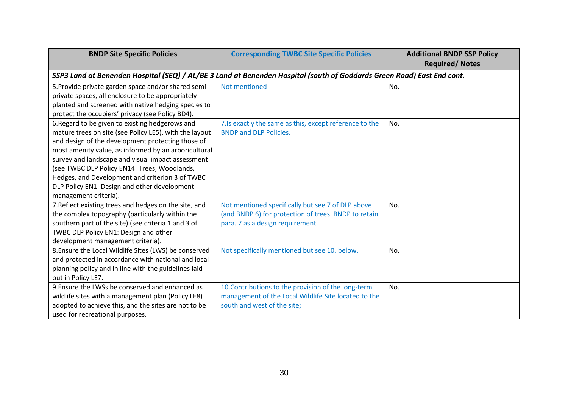| <b>BNDP Site Specific Policies</b>                     | <b>Corresponding TWBC Site Specific Policies</b>                                                                       | <b>Additional BNDP SSP Policy</b><br><b>Required/Notes</b> |
|--------------------------------------------------------|------------------------------------------------------------------------------------------------------------------------|------------------------------------------------------------|
|                                                        | SSP3 Land at Benenden Hospital (SEQ) / AL/BE 3 Land at Benenden Hospital (south of Goddards Green Road) East End cont. |                                                            |
| 5. Provide private garden space and/or shared semi-    | Not mentioned                                                                                                          | No.                                                        |
| private spaces, all enclosure to be appropriately      |                                                                                                                        |                                                            |
| planted and screened with native hedging species to    |                                                                                                                        |                                                            |
| protect the occupiers' privacy (see Policy BD4).       |                                                                                                                        |                                                            |
| 6. Regard to be given to existing hedgerows and        | 7. Is exactly the same as this, except reference to the                                                                | No.                                                        |
| mature trees on site (see Policy LE5), with the layout | <b>BNDP and DLP Policies.</b>                                                                                          |                                                            |
| and design of the development protecting those of      |                                                                                                                        |                                                            |
| most amenity value, as informed by an arboricultural   |                                                                                                                        |                                                            |
| survey and landscape and visual impact assessment      |                                                                                                                        |                                                            |
| (see TWBC DLP Policy EN14: Trees, Woodlands,           |                                                                                                                        |                                                            |
| Hedges, and Development and criterion 3 of TWBC        |                                                                                                                        |                                                            |
| DLP Policy EN1: Design and other development           |                                                                                                                        |                                                            |
| management criteria).                                  |                                                                                                                        |                                                            |
| 7. Reflect existing trees and hedges on the site, and  | Not mentioned specifically but see 7 of DLP above                                                                      | No.                                                        |
| the complex topography (particularly within the        | (and BNDP 6) for protection of trees. BNDP to retain                                                                   |                                                            |
| southern part of the site) (see criteria 1 and 3 of    | para. 7 as a design requirement.                                                                                       |                                                            |
| TWBC DLP Policy EN1: Design and other                  |                                                                                                                        |                                                            |
| development management criteria).                      |                                                                                                                        |                                                            |
| 8. Ensure the Local Wildlife Sites (LWS) be conserved  | Not specifically mentioned but see 10. below.                                                                          | No.                                                        |
| and protected in accordance with national and local    |                                                                                                                        |                                                            |
| planning policy and in line with the guidelines laid   |                                                                                                                        |                                                            |
| out in Policy LE7.                                     |                                                                                                                        |                                                            |
| 9. Ensure the LWSs be conserved and enhanced as        | 10. Contributions to the provision of the long-term                                                                    | No.                                                        |
| wildlife sites with a management plan (Policy LE8)     | management of the Local Wildlife Site located to the                                                                   |                                                            |
| adopted to achieve this, and the sites are not to be   | south and west of the site;                                                                                            |                                                            |
| used for recreational purposes.                        |                                                                                                                        |                                                            |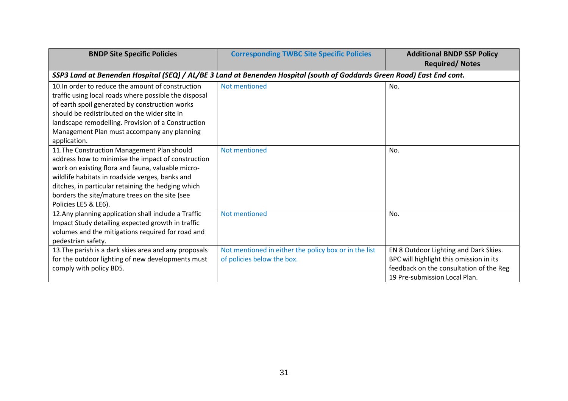| <b>BNDP Site Specific Policies</b>                                                                                                                                                                                                                                                                                                        | <b>Corresponding TWBC Site Specific Policies</b>                                                                       | <b>Additional BNDP SSP Policy</b><br><b>Required/Notes</b>                                                                                                   |
|-------------------------------------------------------------------------------------------------------------------------------------------------------------------------------------------------------------------------------------------------------------------------------------------------------------------------------------------|------------------------------------------------------------------------------------------------------------------------|--------------------------------------------------------------------------------------------------------------------------------------------------------------|
|                                                                                                                                                                                                                                                                                                                                           | SSP3 Land at Benenden Hospital (SEQ) / AL/BE 3 Land at Benenden Hospital (south of Goddards Green Road) East End cont. |                                                                                                                                                              |
| 10. In order to reduce the amount of construction<br>traffic using local roads where possible the disposal<br>of earth spoil generated by construction works<br>should be redistributed on the wider site in<br>landscape remodelling. Provision of a Construction<br>Management Plan must accompany any planning<br>application.         | Not mentioned                                                                                                          | No.                                                                                                                                                          |
| 11. The Construction Management Plan should<br>address how to minimise the impact of construction<br>work on existing flora and fauna, valuable micro-<br>wildlife habitats in roadside verges, banks and<br>ditches, in particular retaining the hedging which<br>borders the site/mature trees on the site (see<br>Policies LE5 & LE6). | Not mentioned                                                                                                          | No.                                                                                                                                                          |
| 12. Any planning application shall include a Traffic<br>Impact Study detailing expected growth in traffic<br>volumes and the mitigations required for road and<br>pedestrian safety.                                                                                                                                                      | Not mentioned                                                                                                          | No.                                                                                                                                                          |
| 13. The parish is a dark skies area and any proposals<br>for the outdoor lighting of new developments must<br>comply with policy BD5.                                                                                                                                                                                                     | Not mentioned in either the policy box or in the list<br>of policies below the box.                                    | EN 8 Outdoor Lighting and Dark Skies.<br>BPC will highlight this omission in its<br>feedback on the consultation of the Reg<br>19 Pre-submission Local Plan. |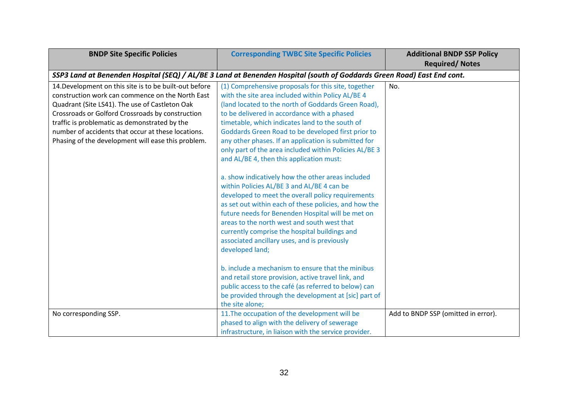| <b>BNDP Site Specific Policies</b>                     | <b>Corresponding TWBC Site Specific Policies</b>                                                                                                                                                                                                                                                                                                                                                                                      | <b>Additional BNDP SSP Policy</b><br><b>Required/ Notes</b> |
|--------------------------------------------------------|---------------------------------------------------------------------------------------------------------------------------------------------------------------------------------------------------------------------------------------------------------------------------------------------------------------------------------------------------------------------------------------------------------------------------------------|-------------------------------------------------------------|
|                                                        | SSP3 Land at Benenden Hospital (SEQ) / AL/BE 3 Land at Benenden Hospital (south of Goddards Green Road) East End cont.                                                                                                                                                                                                                                                                                                                |                                                             |
| 14. Development on this site is to be built-out before | (1) Comprehensive proposals for this site, together                                                                                                                                                                                                                                                                                                                                                                                   | No.                                                         |
| construction work can commence on the North East       | with the site area included within Policy AL/BE 4                                                                                                                                                                                                                                                                                                                                                                                     |                                                             |
| Quadrant (Site LS41). The use of Castleton Oak         | (land located to the north of Goddards Green Road),                                                                                                                                                                                                                                                                                                                                                                                   |                                                             |
| Crossroads or Golford Crossroads by construction       | to be delivered in accordance with a phased                                                                                                                                                                                                                                                                                                                                                                                           |                                                             |
| traffic is problematic as demonstrated by the          | timetable, which indicates land to the south of                                                                                                                                                                                                                                                                                                                                                                                       |                                                             |
| number of accidents that occur at these locations.     | Goddards Green Road to be developed first prior to                                                                                                                                                                                                                                                                                                                                                                                    |                                                             |
| Phasing of the development will ease this problem.     | any other phases. If an application is submitted for                                                                                                                                                                                                                                                                                                                                                                                  |                                                             |
|                                                        | only part of the area included within Policies AL/BE 3                                                                                                                                                                                                                                                                                                                                                                                |                                                             |
|                                                        | and AL/BE 4, then this application must:                                                                                                                                                                                                                                                                                                                                                                                              |                                                             |
|                                                        | a. show indicatively how the other areas included<br>within Policies AL/BE 3 and AL/BE 4 can be<br>developed to meet the overall policy requirements<br>as set out within each of these policies, and how the<br>future needs for Benenden Hospital will be met on<br>areas to the north west and south west that<br>currently comprise the hospital buildings and<br>associated ancillary uses, and is previously<br>developed land; |                                                             |
|                                                        | b. include a mechanism to ensure that the minibus<br>and retail store provision, active travel link, and<br>public access to the café (as referred to below) can<br>be provided through the development at [sic] part of<br>the site alone;                                                                                                                                                                                           |                                                             |
| No corresponding SSP.                                  | 11. The occupation of the development will be                                                                                                                                                                                                                                                                                                                                                                                         | Add to BNDP SSP (omitted in error).                         |
|                                                        | phased to align with the delivery of sewerage                                                                                                                                                                                                                                                                                                                                                                                         |                                                             |
|                                                        | infrastructure, in liaison with the service provider.                                                                                                                                                                                                                                                                                                                                                                                 |                                                             |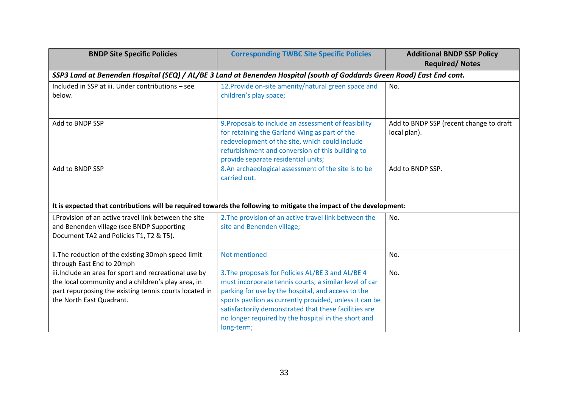| <b>BNDP Site Specific Policies</b>                                                                                                                                                                 | <b>Corresponding TWBC Site Specific Policies</b>                                                                                                                                                                                                                                                                                                           | <b>Additional BNDP SSP Policy</b><br><b>Required/ Notes</b> |
|----------------------------------------------------------------------------------------------------------------------------------------------------------------------------------------------------|------------------------------------------------------------------------------------------------------------------------------------------------------------------------------------------------------------------------------------------------------------------------------------------------------------------------------------------------------------|-------------------------------------------------------------|
|                                                                                                                                                                                                    | SSP3 Land at Benenden Hospital (SEQ) / AL/BE 3 Land at Benenden Hospital (south of Goddards Green Road) East End cont.                                                                                                                                                                                                                                     |                                                             |
| Included in SSP at iii. Under contributions - see<br>below.                                                                                                                                        | 12. Provide on-site amenity/natural green space and<br>children's play space;                                                                                                                                                                                                                                                                              | No.                                                         |
| Add to BNDP SSP                                                                                                                                                                                    | 9. Proposals to include an assessment of feasibility<br>for retaining the Garland Wing as part of the<br>redevelopment of the site, which could include<br>refurbishment and conversion of this building to<br>provide separate residential units;                                                                                                         | Add to BNDP SSP (recent change to draft<br>local plan).     |
| Add to BNDP SSP                                                                                                                                                                                    | 8.An archaeological assessment of the site is to be<br>carried out.                                                                                                                                                                                                                                                                                        | Add to BNDP SSP.                                            |
|                                                                                                                                                                                                    | It is expected that contributions will be required towards the following to mitigate the impact of the development:                                                                                                                                                                                                                                        |                                                             |
| i. Provision of an active travel link between the site<br>and Benenden village (see BNDP Supporting<br>Document TA2 and Policies T1, T2 & T5).                                                     | 2. The provision of an active travel link between the<br>site and Benenden village;                                                                                                                                                                                                                                                                        | No.                                                         |
| ii. The reduction of the existing 30mph speed limit<br>through East End to 20mph                                                                                                                   | Not mentioned                                                                                                                                                                                                                                                                                                                                              | No.                                                         |
| iii. Include an area for sport and recreational use by<br>the local community and a children's play area, in<br>part repurposing the existing tennis courts located in<br>the North East Quadrant. | 3. The proposals for Policies AL/BE 3 and AL/BE 4<br>must incorporate tennis courts, a similar level of car<br>parking for use by the hospital, and access to the<br>sports pavilion as currently provided, unless it can be<br>satisfactorily demonstrated that these facilities are<br>no longer required by the hospital in the short and<br>long-term; | No.                                                         |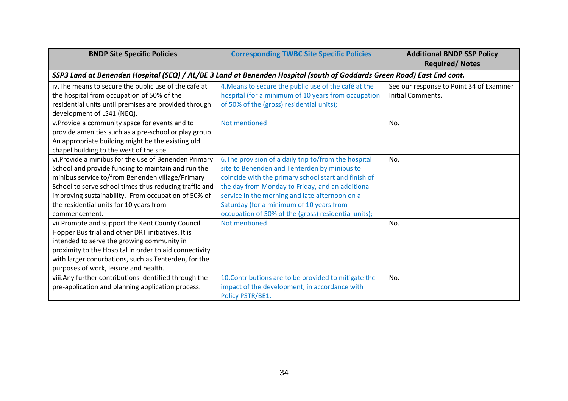| <b>BNDP Site Specific Policies</b>                                                                                                                                                                                                                                                                                                          | <b>Corresponding TWBC Site Specific Policies</b>                                                                                                                                                                                                                                                                                                                        | <b>Additional BNDP SSP Policy</b><br><b>Required/Notes</b>    |
|---------------------------------------------------------------------------------------------------------------------------------------------------------------------------------------------------------------------------------------------------------------------------------------------------------------------------------------------|-------------------------------------------------------------------------------------------------------------------------------------------------------------------------------------------------------------------------------------------------------------------------------------------------------------------------------------------------------------------------|---------------------------------------------------------------|
|                                                                                                                                                                                                                                                                                                                                             | SSP3 Land at Benenden Hospital (SEQ) / AL/BE 3 Land at Benenden Hospital (south of Goddards Green Road) East End cont.                                                                                                                                                                                                                                                  |                                                               |
| iv. The means to secure the public use of the cafe at<br>the hospital from occupation of 50% of the<br>residential units until premises are provided through<br>development of LS41 (NEQ).                                                                                                                                                  | 4. Means to secure the public use of the café at the<br>hospital (for a minimum of 10 years from occupation<br>of 50% of the (gross) residential units);                                                                                                                                                                                                                | See our response to Point 34 of Examiner<br>Initial Comments. |
| v. Provide a community space for events and to<br>provide amenities such as a pre-school or play group.<br>An appropriate building might be the existing old<br>chapel building to the west of the site.                                                                                                                                    | Not mentioned                                                                                                                                                                                                                                                                                                                                                           | No.                                                           |
| vi.Provide a minibus for the use of Benenden Primary<br>School and provide funding to maintain and run the<br>minibus service to/from Benenden village/Primary<br>School to serve school times thus reducing traffic and<br>improving sustainability. From occupation of 50% of<br>the residential units for 10 years from<br>commencement. | 6. The provision of a daily trip to/from the hospital<br>site to Benenden and Tenterden by minibus to<br>coincide with the primary school start and finish of<br>the day from Monday to Friday, and an additional<br>service in the morning and late afternoon on a<br>Saturday (for a minimum of 10 years from<br>occupation of 50% of the (gross) residential units); | No.                                                           |
| vii.Promote and support the Kent County Council<br>Hopper Bus trial and other DRT initiatives. It is<br>intended to serve the growing community in<br>proximity to the Hospital in order to aid connectivity<br>with larger conurbations, such as Tenterden, for the<br>purposes of work, leisure and health.                               | Not mentioned                                                                                                                                                                                                                                                                                                                                                           | No.                                                           |
| viii. Any further contributions identified through the<br>pre-application and planning application process.                                                                                                                                                                                                                                 | 10. Contributions are to be provided to mitigate the<br>impact of the development, in accordance with<br>Policy PSTR/BE1.                                                                                                                                                                                                                                               | No.                                                           |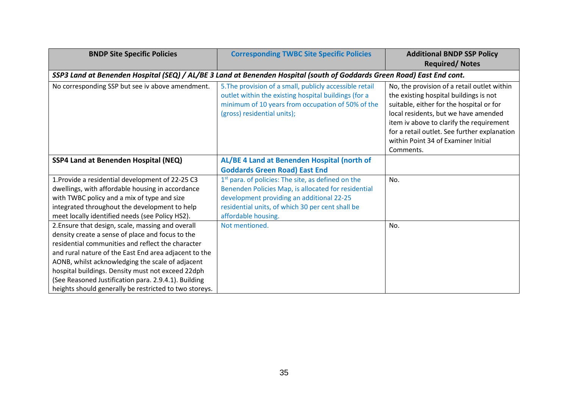| <b>BNDP Site Specific Policies</b>                     | <b>Corresponding TWBC Site Specific Policies</b>                                                                                                                                                    | <b>Additional BNDP SSP Policy</b>                                                                                                                                                                                                                                                                                         |
|--------------------------------------------------------|-----------------------------------------------------------------------------------------------------------------------------------------------------------------------------------------------------|---------------------------------------------------------------------------------------------------------------------------------------------------------------------------------------------------------------------------------------------------------------------------------------------------------------------------|
|                                                        |                                                                                                                                                                                                     | <b>Required/Notes</b>                                                                                                                                                                                                                                                                                                     |
|                                                        | SSP3 Land at Benenden Hospital (SEQ) / AL/BE 3 Land at Benenden Hospital (south of Goddards Green Road) East End cont.                                                                              |                                                                                                                                                                                                                                                                                                                           |
| No corresponding SSP but see iv above amendment.       | 5. The provision of a small, publicly accessible retail<br>outlet within the existing hospital buildings (for a<br>minimum of 10 years from occupation of 50% of the<br>(gross) residential units); | No, the provision of a retail outlet within<br>the existing hospital buildings is not<br>suitable, either for the hospital or for<br>local residents, but we have amended<br>item iv above to clarify the requirement<br>for a retail outlet. See further explanation<br>within Point 34 of Examiner Initial<br>Comments. |
| SSP4 Land at Benenden Hospital (NEQ)                   | AL/BE 4 Land at Benenden Hospital (north of                                                                                                                                                         |                                                                                                                                                                                                                                                                                                                           |
|                                                        | <b>Goddards Green Road) East End</b>                                                                                                                                                                |                                                                                                                                                                                                                                                                                                                           |
| 1. Provide a residential development of 22-25 C3       | 1 <sup>st</sup> para. of policies: The site, as defined on the                                                                                                                                      | No.                                                                                                                                                                                                                                                                                                                       |
| dwellings, with affordable housing in accordance       | Benenden Policies Map, is allocated for residential                                                                                                                                                 |                                                                                                                                                                                                                                                                                                                           |
| with TWBC policy and a mix of type and size            | development providing an additional 22-25                                                                                                                                                           |                                                                                                                                                                                                                                                                                                                           |
| integrated throughout the development to help          | residential units, of which 30 per cent shall be                                                                                                                                                    |                                                                                                                                                                                                                                                                                                                           |
| meet locally identified needs (see Policy HS2).        | affordable housing.                                                                                                                                                                                 |                                                                                                                                                                                                                                                                                                                           |
| 2. Ensure that design, scale, massing and overall      | Not mentioned.                                                                                                                                                                                      | No.                                                                                                                                                                                                                                                                                                                       |
| density create a sense of place and focus to the       |                                                                                                                                                                                                     |                                                                                                                                                                                                                                                                                                                           |
| residential communities and reflect the character      |                                                                                                                                                                                                     |                                                                                                                                                                                                                                                                                                                           |
| and rural nature of the East End area adjacent to the  |                                                                                                                                                                                                     |                                                                                                                                                                                                                                                                                                                           |
| AONB, whilst acknowledging the scale of adjacent       |                                                                                                                                                                                                     |                                                                                                                                                                                                                                                                                                                           |
| hospital buildings. Density must not exceed 22dph      |                                                                                                                                                                                                     |                                                                                                                                                                                                                                                                                                                           |
| (See Reasoned Justification para. 2.9.4.1). Building   |                                                                                                                                                                                                     |                                                                                                                                                                                                                                                                                                                           |
| heights should generally be restricted to two storeys. |                                                                                                                                                                                                     |                                                                                                                                                                                                                                                                                                                           |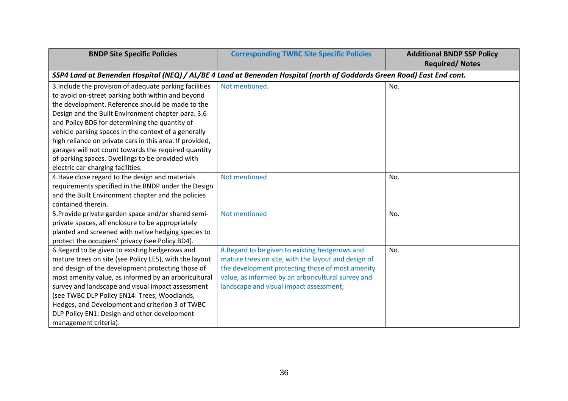| <b>BNDP Site Specific Policies</b>                       | <b>Corresponding TWBC Site Specific Policies</b>                                                                       | <b>Additional BNDP SSP Policy</b><br><b>Required/ Notes</b> |  |
|----------------------------------------------------------|------------------------------------------------------------------------------------------------------------------------|-------------------------------------------------------------|--|
|                                                          | SSP4 Land at Benenden Hospital (NEQ) / AL/BE 4 Land at Benenden Hospital (north of Goddards Green Road) East End cont. |                                                             |  |
| 3. Include the provision of adequate parking facilities  | Not mentioned.                                                                                                         | No.                                                         |  |
| to avoid on-street parking both within and beyond        |                                                                                                                        |                                                             |  |
| the development. Reference should be made to the         |                                                                                                                        |                                                             |  |
| Design and the Built Environment chapter para. 3.6       |                                                                                                                        |                                                             |  |
| and Policy BD6 for determining the quantity of           |                                                                                                                        |                                                             |  |
| vehicle parking spaces in the context of a generally     |                                                                                                                        |                                                             |  |
| high reliance on private cars in this area. If provided, |                                                                                                                        |                                                             |  |
| garages will not count towards the required quantity     |                                                                                                                        |                                                             |  |
| of parking spaces. Dwellings to be provided with         |                                                                                                                        |                                                             |  |
| electric car-charging facilities.                        |                                                                                                                        |                                                             |  |
| 4. Have close regard to the design and materials         | Not mentioned                                                                                                          | No.                                                         |  |
| requirements specified in the BNDP under the Design      |                                                                                                                        |                                                             |  |
| and the Built Environment chapter and the policies       |                                                                                                                        |                                                             |  |
| contained therein.                                       |                                                                                                                        |                                                             |  |
| 5. Provide private garden space and/or shared semi-      | Not mentioned                                                                                                          | No.                                                         |  |
| private spaces, all enclosure to be appropriately        |                                                                                                                        |                                                             |  |
| planted and screened with native hedging species to      |                                                                                                                        |                                                             |  |
| protect the occupiers' privacy (see Policy BD4).         |                                                                                                                        |                                                             |  |
| 6. Regard to be given to existing hedgerows and          | 8. Regard to be given to existing hedgerows and                                                                        | No.                                                         |  |
| mature trees on site (see Policy LE5), with the layout   | mature trees on site, with the layout and design of                                                                    |                                                             |  |
| and design of the development protecting those of        | the development protecting those of most amenity                                                                       |                                                             |  |
| most amenity value, as informed by an arboricultural     | value, as informed by an arboricultural survey and                                                                     |                                                             |  |
| survey and landscape and visual impact assessment        | landscape and visual impact assessment;                                                                                |                                                             |  |
| (see TWBC DLP Policy EN14: Trees, Woodlands,             |                                                                                                                        |                                                             |  |
| Hedges, and Development and criterion 3 of TWBC          |                                                                                                                        |                                                             |  |
| DLP Policy EN1: Design and other development             |                                                                                                                        |                                                             |  |
| management criteria).                                    |                                                                                                                        |                                                             |  |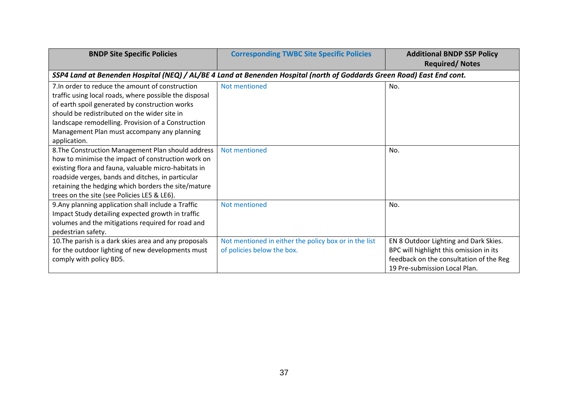| <b>BNDP Site Specific Policies</b>                                                                                                                                                                                                                                                                                                | <b>Corresponding TWBC Site Specific Policies</b>                                    | <b>Additional BNDP SSP Policy</b><br><b>Required/ Notes</b>                                                                                                  |  |
|-----------------------------------------------------------------------------------------------------------------------------------------------------------------------------------------------------------------------------------------------------------------------------------------------------------------------------------|-------------------------------------------------------------------------------------|--------------------------------------------------------------------------------------------------------------------------------------------------------------|--|
| SSP4 Land at Benenden Hospital (NEQ) / AL/BE 4 Land at Benenden Hospital (north of Goddards Green Road) East End cont.                                                                                                                                                                                                            |                                                                                     |                                                                                                                                                              |  |
| 7. In order to reduce the amount of construction<br>traffic using local roads, where possible the disposal<br>of earth spoil generated by construction works<br>should be redistributed on the wider site in<br>landscape remodelling. Provision of a Construction<br>Management Plan must accompany any planning<br>application. | Not mentioned                                                                       | No.                                                                                                                                                          |  |
| 8. The Construction Management Plan should address<br>how to minimise the impact of construction work on<br>existing flora and fauna, valuable micro-habitats in<br>roadside verges, bands and ditches, in particular<br>retaining the hedging which borders the site/mature<br>trees on the site (see Policies LE5 & LE6).       | Not mentioned                                                                       | No.                                                                                                                                                          |  |
| 9. Any planning application shall include a Traffic<br>Impact Study detailing expected growth in traffic<br>volumes and the mitigations required for road and<br>pedestrian safety.                                                                                                                                               | Not mentioned                                                                       | No.                                                                                                                                                          |  |
| 10. The parish is a dark skies area and any proposals<br>for the outdoor lighting of new developments must<br>comply with policy BD5.                                                                                                                                                                                             | Not mentioned in either the policy box or in the list<br>of policies below the box. | EN 8 Outdoor Lighting and Dark Skies.<br>BPC will highlight this omission in its<br>feedback on the consultation of the Reg<br>19 Pre-submission Local Plan. |  |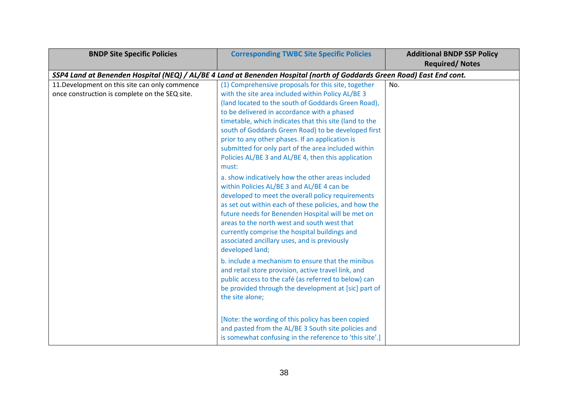| <b>BNDP Site Specific Policies</b>                                                                                     | <b>Corresponding TWBC Site Specific Policies</b>        | <b>Additional BNDP SSP Policy</b> |  |
|------------------------------------------------------------------------------------------------------------------------|---------------------------------------------------------|-----------------------------------|--|
|                                                                                                                        |                                                         | <b>Required/Notes</b>             |  |
| SSP4 Land at Benenden Hospital (NEQ) / AL/BE 4 Land at Benenden Hospital (north of Goddards Green Road) East End cont. |                                                         |                                   |  |
| 11. Development on this site can only commence                                                                         | (1) Comprehensive proposals for this site, together     | No.                               |  |
| once construction is complete on the SEQ site.                                                                         | with the site area included within Policy AL/BE 3       |                                   |  |
|                                                                                                                        | (land located to the south of Goddards Green Road),     |                                   |  |
|                                                                                                                        | to be delivered in accordance with a phased             |                                   |  |
|                                                                                                                        | timetable, which indicates that this site (land to the  |                                   |  |
|                                                                                                                        | south of Goddards Green Road) to be developed first     |                                   |  |
|                                                                                                                        | prior to any other phases. If an application is         |                                   |  |
|                                                                                                                        | submitted for only part of the area included within     |                                   |  |
|                                                                                                                        | Policies AL/BE 3 and AL/BE 4, then this application     |                                   |  |
|                                                                                                                        | must:                                                   |                                   |  |
|                                                                                                                        | a. show indicatively how the other areas included       |                                   |  |
|                                                                                                                        | within Policies AL/BE 3 and AL/BE 4 can be              |                                   |  |
|                                                                                                                        | developed to meet the overall policy requirements       |                                   |  |
|                                                                                                                        | as set out within each of these policies, and how the   |                                   |  |
|                                                                                                                        | future needs for Benenden Hospital will be met on       |                                   |  |
|                                                                                                                        | areas to the north west and south west that             |                                   |  |
|                                                                                                                        | currently comprise the hospital buildings and           |                                   |  |
|                                                                                                                        | associated ancillary uses, and is previously            |                                   |  |
|                                                                                                                        | developed land;                                         |                                   |  |
|                                                                                                                        | b. include a mechanism to ensure that the minibus       |                                   |  |
|                                                                                                                        | and retail store provision, active travel link, and     |                                   |  |
|                                                                                                                        | public access to the café (as referred to below) can    |                                   |  |
|                                                                                                                        | be provided through the development at [sic] part of    |                                   |  |
|                                                                                                                        | the site alone;                                         |                                   |  |
|                                                                                                                        |                                                         |                                   |  |
|                                                                                                                        |                                                         |                                   |  |
|                                                                                                                        | [Note: the wording of this policy has been copied       |                                   |  |
|                                                                                                                        | and pasted from the AL/BE 3 South site policies and     |                                   |  |
|                                                                                                                        | is somewhat confusing in the reference to 'this site'.] |                                   |  |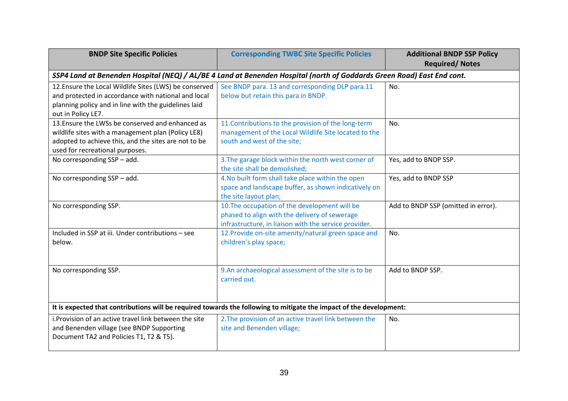| <b>BNDP Site Specific Policies</b>                                                                                                                                                                | <b>Corresponding TWBC Site Specific Policies</b>                                                                                                        | <b>Additional BNDP SSP Policy</b><br><b>Required/ Notes</b> |  |  |
|---------------------------------------------------------------------------------------------------------------------------------------------------------------------------------------------------|---------------------------------------------------------------------------------------------------------------------------------------------------------|-------------------------------------------------------------|--|--|
| SSP4 Land at Benenden Hospital (NEQ) / AL/BE 4 Land at Benenden Hospital (north of Goddards Green Road) East End cont.                                                                            |                                                                                                                                                         |                                                             |  |  |
| 12. Ensure the Local Wildlife Sites (LWS) be conserved<br>and protected in accordance with national and local<br>planning policy and in line with the guidelines laid<br>out in Policy LE7.       | See BNDP para. 13 and corresponding DLP para.11<br>below but retain this para in BNDP.                                                                  | No.                                                         |  |  |
| 13. Ensure the LWSs be conserved and enhanced as<br>wildlife sites with a management plan (Policy LE8)<br>adopted to achieve this, and the sites are not to be<br>used for recreational purposes. | 11. Contributions to the provision of the long-term<br>management of the Local Wildlife Site located to the<br>south and west of the site;              | No.                                                         |  |  |
| No corresponding SSP - add.                                                                                                                                                                       | 3. The garage block within the north west corner of<br>the site shall be demolished;                                                                    | Yes, add to BNDP SSP.                                       |  |  |
| No corresponding SSP - add.                                                                                                                                                                       | 4. No built form shall take place within the open<br>space and landscape buffer, as shown indicatively on<br>the site layout plan;                      | Yes, add to BNDP SSP                                        |  |  |
| No corresponding SSP.                                                                                                                                                                             | 10. The occupation of the development will be<br>phased to align with the delivery of sewerage<br>infrastructure, in liaison with the service provider. | Add to BNDP SSP (omitted in error).                         |  |  |
| Included in SSP at iii. Under contributions - see<br>below.                                                                                                                                       | 12. Provide on-site amenity/natural green space and<br>children's play space;                                                                           | No.                                                         |  |  |
| No corresponding SSP.                                                                                                                                                                             | 9.An archaeological assessment of the site is to be<br>carried out.                                                                                     | Add to BNDP SSP.                                            |  |  |
| It is expected that contributions will be required towards the following to mitigate the impact of the development:                                                                               |                                                                                                                                                         |                                                             |  |  |
| i. Provision of an active travel link between the site<br>and Benenden village (see BNDP Supporting<br>Document TA2 and Policies T1, T2 & T5).                                                    | 2. The provision of an active travel link between the<br>site and Benenden village;                                                                     | No.                                                         |  |  |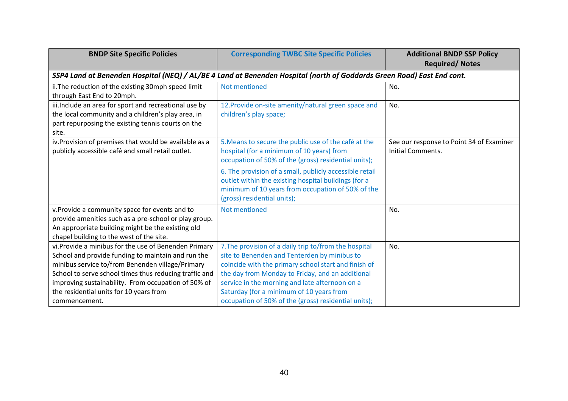| <b>BNDP Site Specific Policies</b>                                                                                                                                                                                       | <b>Corresponding TWBC Site Specific Policies</b>                                                                                                                                                                  | <b>Additional BNDP SSP Policy</b><br><b>Required/Notes</b>    |  |
|--------------------------------------------------------------------------------------------------------------------------------------------------------------------------------------------------------------------------|-------------------------------------------------------------------------------------------------------------------------------------------------------------------------------------------------------------------|---------------------------------------------------------------|--|
| SSP4 Land at Benenden Hospital (NEQ) / AL/BE 4 Land at Benenden Hospital (north of Goddards Green Road) East End cont.                                                                                                   |                                                                                                                                                                                                                   |                                                               |  |
| ii. The reduction of the existing 30mph speed limit<br>through East End to 20mph.                                                                                                                                        | Not mentioned                                                                                                                                                                                                     | No.                                                           |  |
| iii. Include an area for sport and recreational use by<br>the local community and a children's play area, in<br>part repurposing the existing tennis courts on the                                                       | 12. Provide on-site amenity/natural green space and<br>children's play space;                                                                                                                                     | No.                                                           |  |
| site.                                                                                                                                                                                                                    |                                                                                                                                                                                                                   |                                                               |  |
| iv. Provision of premises that would be available as a<br>publicly accessible café and small retail outlet.                                                                                                              | 5. Means to secure the public use of the café at the<br>hospital (for a minimum of 10 years) from<br>occupation of 50% of the (gross) residential units);                                                         | See our response to Point 34 of Examiner<br>Initial Comments. |  |
|                                                                                                                                                                                                                          | 6. The provision of a small, publicly accessible retail<br>outlet within the existing hospital buildings (for a<br>minimum of 10 years from occupation of 50% of the<br>(gross) residential units);               |                                                               |  |
| v. Provide a community space for events and to<br>provide amenities such as a pre-school or play group.<br>An appropriate building might be the existing old<br>chapel building to the west of the site.                 | Not mentioned                                                                                                                                                                                                     | No.                                                           |  |
| vi.Provide a minibus for the use of Benenden Primary<br>School and provide funding to maintain and run the<br>minibus service to/from Benenden village/Primary<br>School to serve school times thus reducing traffic and | 7. The provision of a daily trip to/from the hospital<br>site to Benenden and Tenterden by minibus to<br>coincide with the primary school start and finish of<br>the day from Monday to Friday, and an additional | No.                                                           |  |
| improving sustainability. From occupation of 50% of<br>the residential units for 10 years from<br>commencement.                                                                                                          | service in the morning and late afternoon on a<br>Saturday (for a minimum of 10 years from<br>occupation of 50% of the (gross) residential units);                                                                |                                                               |  |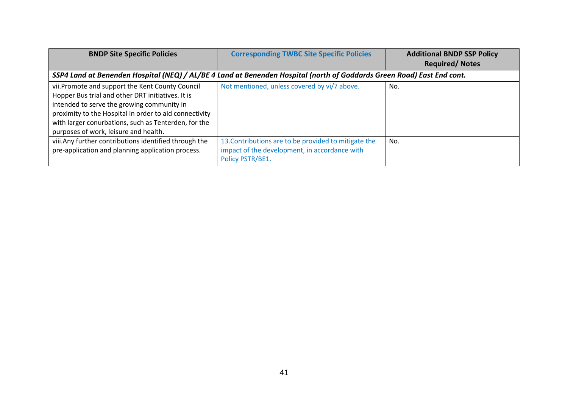| <b>BNDP Site Specific Policies</b>                                                                                                                                                                                                                                                                            | <b>Corresponding TWBC Site Specific Policies</b>                                                                          | <b>Additional BNDP SSP Policy</b><br><b>Required/Notes</b> |  |
|---------------------------------------------------------------------------------------------------------------------------------------------------------------------------------------------------------------------------------------------------------------------------------------------------------------|---------------------------------------------------------------------------------------------------------------------------|------------------------------------------------------------|--|
| SSP4 Land at Benenden Hospital (NEQ) / AL/BE 4 Land at Benenden Hospital (north of Goddards Green Road) East End cont.                                                                                                                                                                                        |                                                                                                                           |                                                            |  |
| vii.Promote and support the Kent County Council<br>Hopper Bus trial and other DRT initiatives. It is<br>intended to serve the growing community in<br>proximity to the Hospital in order to aid connectivity<br>with larger conurbations, such as Tenterden, for the<br>purposes of work, leisure and health. | Not mentioned, unless covered by vi/7 above.                                                                              | No.                                                        |  |
| viii. Any further contributions identified through the<br>pre-application and planning application process.                                                                                                                                                                                                   | 13. Contributions are to be provided to mitigate the<br>impact of the development, in accordance with<br>Policy PSTR/BE1. | No.                                                        |  |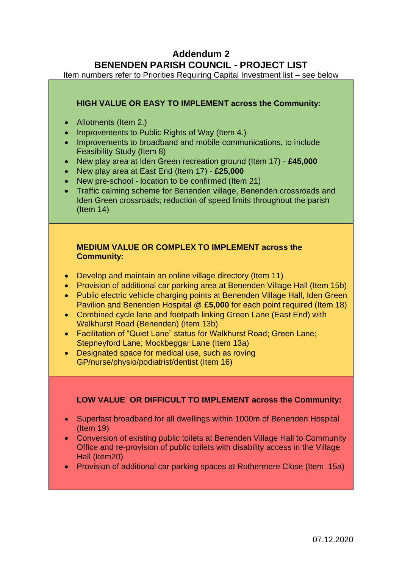## **Addendum 2 BENENDEN PARISH COUNCIL - PROJECT LIST**

Item numbers refer to Priorities Requiring Capital Investment list – see below

#### **HIGH VALUE OR EASY TO IMPLEMENT across the Community:**

- Allotments (Item 2.)
- Improvements to Public Rights of Way (Item 4.)
- Improvements to broadband and mobile communications, to include Feasibility Study (Item 8)
- New play area at Iden Green recreation ground (Item 17) **£45,000**
- New play area at East End (Item 17) **£25,000**
- New pre-school location to be confirmed (Item 21)
- Traffic calming scheme for Benenden village, Benenden crossroads and Iden Green crossroads; reduction of speed limits throughout the parish (Item 14)

#### **MEDIUM VALUE OR COMPLEX TO IMPLEMENT across the Community:**

- Develop and maintain an online village directory (Item 11)
- Provision of additional car parking area at Benenden Village Hall (Item 15b)
- Public electric vehicle charging points at Benenden Village Hall, Iden Green Pavilion and Benenden Hospital @ **£5,000** for each point required (Item 18)
- Combined cycle lane and footpath linking Green Lane (East End) with Walkhurst Road (Benenden) (Item 13b)
- Facilitation of "Quiet Lane" status for Walkhurst Road: Green Lane: Stepneyford Lane; Mockbeggar Lane (Item 13a)
- Designated space for medical use, such as roving GP/nurse/physio/podiatrist/dentist (Item 16)

## **LOW VALUE OR DIFFICULT TO IMPLEMENT across the Community:**

- Superfast broadband for all dwellings within 1000m of Benenden Hospital (Item 19)
- Conversion of existing public toilets at Benenden Village Hall to Community Office and re-provision of public toilets with disability access in the Village Hall (Item20)
- Provision of additional car parking spaces at Rothermere Close (Item 15a)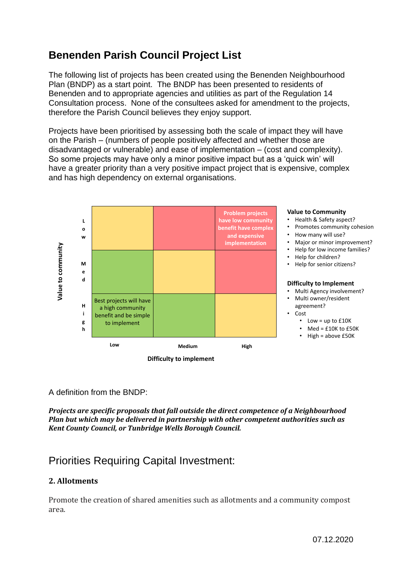# **Benenden Parish Council Project List**

The following list of projects has been created using the Benenden Neighbourhood Plan (BNDP) as a start point. The BNDP has been presented to residents of Benenden and to appropriate agencies and utilities as part of the Regulation 14 Consultation process. None of the consultees asked for amendment to the projects, therefore the Parish Council believes they enjoy support.

Projects have been prioritised by assessing both the scale of impact they will have on the Parish – (numbers of people positively affected and whether those are disadvantaged or vulnerable) and ease of implementation – (cost and complexity). So some projects may have only a minor positive impact but as a 'quick win' will have a greater priority than a very positive impact project that is expensive, complex and has high dependency on external organisations.



#### **Value to Community**

- Health & Safety aspect?
- Promotes community cohesion
- How many will use?
- Major or minor improvement?
- Help for low income families?
- Help for children?
- Help for senior citizens?

#### **Difficulty to Implement**

- Multi Agency involvement? • Multi owner/resident
	- agreement?
- Cost
	- Low = up to £10K
	- Med = £10K to £50K • High = above £50K

A definition from the BNDP:

*Projects are specific proposals that fall outside the direct competence of a Neighbourhood Plan but which may be delivered in partnership with other competent authorities such as Kent County Council, or Tunbridge Wells Borough Council.* 

## Priorities Requiring Capital Investment:

## **2. Allotments**

Promote the creation of shared amenities such as allotments and a community compost area.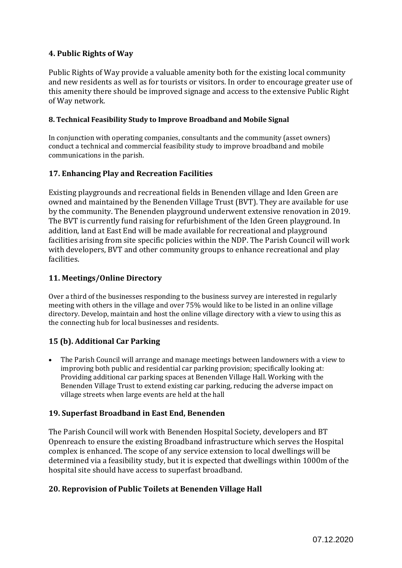## **4. Public Rights of Way**

Public Rights of Way provide a valuable amenity both for the existing local community and new residents as well as for tourists or visitors. In order to encourage greater use of this amenity there should be improved signage and access to the extensive Public Right of Way network.

#### **8. Technical Feasibility Study to Improve Broadband and Mobile Signal**

In conjunction with operating companies, consultants and the community (asset owners) conduct a technical and commercial feasibility study to improve broadband and mobile communications in the parish.

### **17. Enhancing Play and Recreation Facilities**

Existing playgrounds and recreational fields in Benenden village and Iden Green are owned and maintained by the Benenden Village Trust (BVT). They are available for use by the community. The Benenden playground underwent extensive renovation in 2019. The BVT is currently fund raising for refurbishment of the Iden Green playground. In addition, land at East End will be made available for recreational and playground facilities arising from site specific policies within the NDP. The Parish Council will work with developers, BVT and other community groups to enhance recreational and play facilities.

#### **11. Meetings/Online Directory**

Over a third of the businesses responding to the business survey are interested in regularly meeting with others in the village and over 75% would like to be listed in an online village directory. Develop, maintain and host the online village directory with a view to using this as the connecting hub for local businesses and residents.

#### **15 (b). Additional Car Parking**

• The Parish Council will arrange and manage meetings between landowners with a view to improving both public and residential car parking provision; specifically looking at: Providing additional car parking spaces at Benenden Village Hall. Working with the Benenden Village Trust to extend existing car parking, reducing the adverse impact on village streets when large events are held at the hall

#### **19. Superfast Broadband in East End, Benenden**

The Parish Council will work with Benenden Hospital Society, developers and BT Openreach to ensure the existing Broadband infrastructure which serves the Hospital complex is enhanced. The scope of any service extension to local dwellings will be determined via a feasibility study, but it is expected that dwellings within 1000m of the hospital site should have access to superfast broadband.

#### **20. Reprovision of Public Toilets at Benenden Village Hall**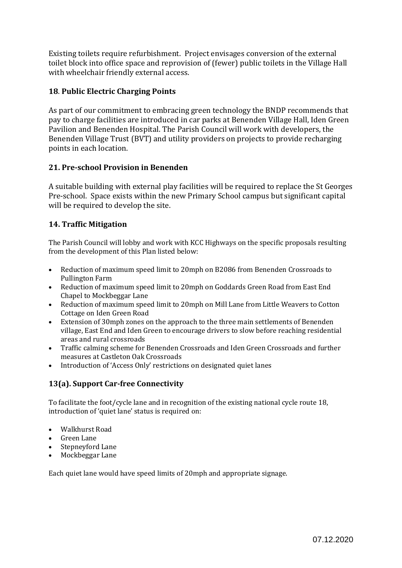Existing toilets require refurbishment. Project envisages conversion of the external toilet block into office space and reprovision of (fewer) public toilets in the Village Hall with wheelchair friendly external access.

### **18**. **Public Electric Charging Points**

As part of our commitment to embracing green technology the BNDP recommends that pay to charge facilities are introduced in car parks at Benenden Village Hall, Iden Green Pavilion and Benenden Hospital. The Parish Council will work with developers, the Benenden Village Trust (BVT) and utility providers on projects to provide recharging points in each location.

### **21. Pre-school Provision in Benenden**

A suitable building with external play facilities will be required to replace the St Georges Pre-school. Space exists within the new Primary School campus but significant capital will be required to develop the site.

### **14. Traffic Mitigation**

The Parish Council will lobby and work with KCC Highways on the specific proposals resulting from the development of this Plan listed below:

- Reduction of maximum speed limit to 20mph on B2086 from Benenden Crossroads to Pullington Farm
- Reduction of maximum speed limit to 20mph on Goddards Green Road from East End Chapel to Mockbeggar Lane
- Reduction of maximum speed limit to 20mph on Mill Lane from Little Weavers to Cotton Cottage on Iden Green Road
- Extension of 30mph zones on the approach to the three main settlements of Benenden village, East End and Iden Green to encourage drivers to slow before reaching residential areas and rural crossroads
- Traffic calming scheme for Benenden Crossroads and Iden Green Crossroads and further measures at Castleton Oak Crossroads
- Introduction of 'Access Only' restrictions on designated quiet lanes

## **13(a). Support Car-free Connectivity**

To facilitate the foot/cycle lane and in recognition of the existing national cycle route 18, introduction of 'quiet lane' status is required on:

- Walkhurst Road
- Green Lane
- Stepneyford Lane
- Mockbeggar Lane

Each quiet lane would have speed limits of 20mph and appropriate signage.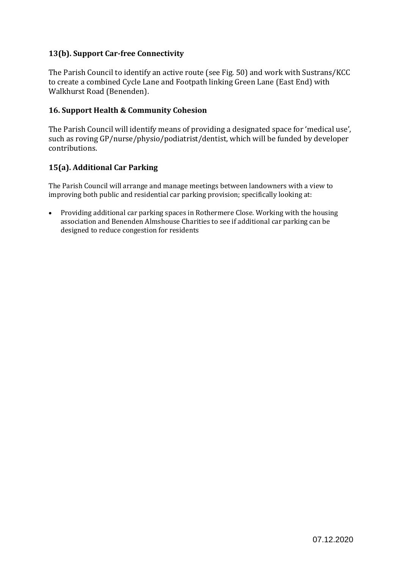### **13(b). Support Car-free Connectivity**

The Parish Council to identify an active route (see Fig. 50) and work with Sustrans/KCC to create a combined Cycle Lane and Footpath linking Green Lane (East End) with Walkhurst Road (Benenden).

#### **16. Support Health & Community Cohesion**

The Parish Council will identify means of providing a designated space for 'medical use', such as roving GP/nurse/physio/podiatrist/dentist, which will be funded by developer contributions.

#### **15(a). Additional Car Parking**

The Parish Council will arrange and manage meetings between landowners with a view to improving both public and residential car parking provision; specifically looking at:

• Providing additional car parking spaces in Rothermere Close. Working with the housing association and Benenden Almshouse Charities to see if additional car parking can be designed to reduce congestion for residents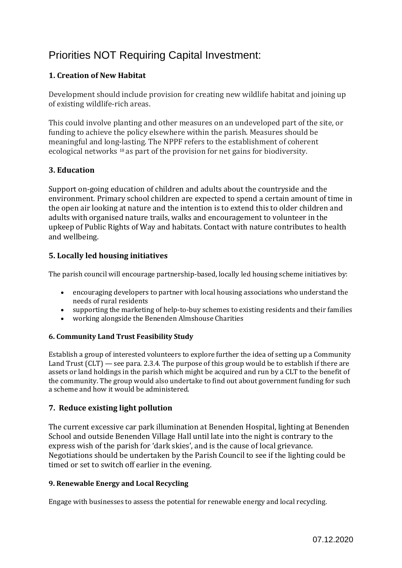# Priorities NOT Requiring Capital Investment:

## **1. Creation of New Habitat**

Development should include provision for creating new wildlife habitat and joining up of existing wildlife‐rich areas.

This could involve planting and other measures on an undeveloped part of the site, or funding to achieve the policy elsewhere within the parish. Measures should be meaningful and long‐lasting. The NPPF refers to the establishment of coherent ecological networks 18 as part of the provision for net gains for biodiversity.

#### **3. Education**

Support on‐going education of children and adults about the countryside and the environment. Primary school children are expected to spend a certain amount of time in the open air looking at nature and the intention is to extend this to older children and adults with organised nature trails, walks and encouragement to volunteer in the upkeep of Public Rights of Way and habitats. Contact with nature contributes to health and wellbeing.

#### **5. Locally led housing initiatives**

The parish council will encourage partnership-based, locally led housing scheme initiatives by:

- encouraging developers to partner with local housing associations who understand the needs of rural residents
- supporting the marketing of help-to-buy schemes to existing residents and their families
- working alongside the Benenden Almshouse Charities

#### **6. Community Land Trust Feasibility Study**

Establish a group of interested volunteers to explore further the idea of setting up a Community Land Trust  $CLT$   $-$  see para. 2.3.4. The purpose of this group would be to establish if there are assets or land holdings in the parish which might be acquired and run by a CLT to the benefit of the community. The group would also undertake to find out about government funding for such a scheme and how it would be administered.

#### **7. Reduce existing light pollution**

The current excessive car park illumination at Benenden Hospital, lighting at Benenden School and outside Benenden Village Hall until late into the night is contrary to the express wish of the parish for 'dark skies', and is the cause of local grievance. Negotiations should be undertaken by the Parish Council to see if the lighting could be timed or set to switch off earlier in the evening.

#### **9. Renewable Energy and Local Recycling**

Engage with businesses to assess the potential for renewable energy and local recycling.